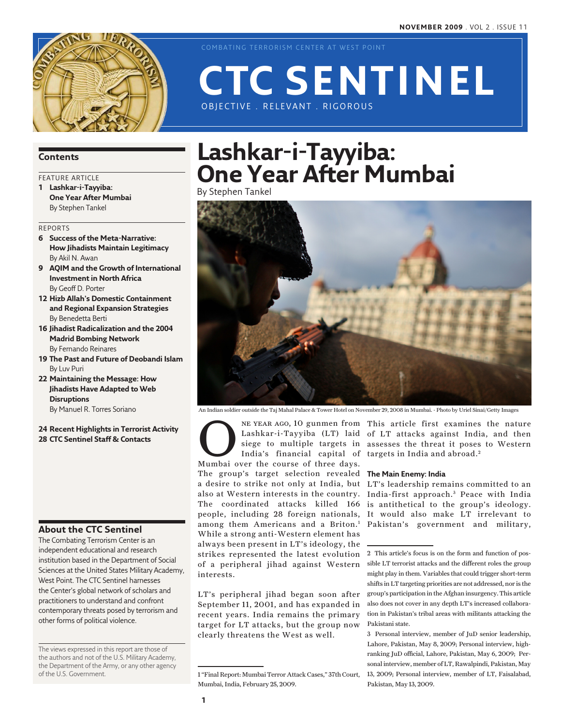

COMBATING TERRORISM CENTER AT WEST POINT

Obj ective . Relevant . Rigorous

# **Lashkar-i-Tayyiba: One Year After Mumbai**

**CTC Sentinel** 

By Stephen Tankel



An Indian soldier outside the Taj Mahal Palace & Tower Hotel on November 29, 2008 in Mumbai. - Photo by Uriel Sinai/Getty Images

**ONE YEAR AGO, 10 gunmen from**<br>
Lashkar-i-Tayyiba (LT) laid<br>
siege to multiple targets in<br>
India's financial capital of<br>
Mumbai over the course of three days. siege to multiple targets in India's financial capital of The group's target selection revealed **The Main Enemy: India** a desire to strike not only at India, but LT's leadership remains committed to an also at Western interests in the country. The coordinated attacks killed 166 people, including 28 foreign nationals, among them Americans and a Briton.<sup>1</sup> While a strong anti-Western element has always been present in LT's ideology, the strikes represented the latest evolution of a peripheral jihad against Western interests.

LT's peripheral jihad began soon after September 11, 2001, and has expanded in recent years. India remains the primary target for LT attacks, but the group now clearly threatens the West as well.

Lashkar-i-Tayyiba (LT) laid of LT attacks against India, and then NE YEAR AGO, 10 gunmen from This article first examines the nature assesses the threat it poses to Western targets in India and abroad.<sup>2</sup>

India-first approach. 3 Peace with India is antithetical to the group's ideology. It would also make LT irrelevant to Pakistan's government and military,

### **Contents**

### FEATURE ARTICLE

**1 Lashkar-i-Tayyiba: One Year After Mumbai** By Stephen Tankel

#### Reports

- **6 Success of the Meta-Narrative: How Jihadists Maintain Legitimacy** By Akil N. Awan
- **9 AQIM and the Growth of International Investment in North Africa** By Geoff D. Porter
- **12 Hizb Allah's Domestic Containment and Regional Expansion Strategies** By Benedetta Berti
- **16 Jihadist Radicalization and the 2004 Madrid Bombing Network** By Fernando Reinares
- **19 The Past and Future of Deobandi Islam** By Luv Puri
- **22 Maintaining the Message: How Jihadists Have Adapted to Web Disruptions**

By Manuel R. Torres Soriano

**24 Recent Highlights in Terrorist Activity 28 CTC Sentinel Staff & Contacts**

### **About the CTC Sentinel**

The Combating Terrorism Center is an independent educational and research institution based in the Department of Social Sciences at the United States Military Academy, West Point. The CTC Sentinel harnesses the Center's global network of scholars and practitioners to understand and confront contemporary threats posed by terrorism and other forms of political violence.

The views expressed in this report are those of the authors and not of the U.S. Military Academy, the Department of the Army, or any other agency of the U.S. Government.

<sup>1 &</sup>quot;Final Report: Mumbai Terror Attack Cases," 37th Court, Mumbai, India, February 25, 2009.

<sup>2</sup> This article's focus is on the form and function of possible LT terrorist attacks and the different roles the group might play in them. Variables that could trigger short-term shifts in LT targeting priorities are not addressed, nor is the group's participation in the Afghan insurgency. This article also does not cover in any depth LT's increased collaboration in Pakistan's tribal areas with militants attacking the Pakistani state.

<sup>3</sup> Personal interview, member of JuD senior leadership, Lahore, Pakistan, May 8, 2009; Personal interview, highranking JuD official, Lahore, Pakistan, May 6, 2009; Personal interview, member of LT, Rawalpindi, Pakistan, May 13, 2009; Personal interview, member of LT, Faisalabad, Pakistan, May 13, 2009.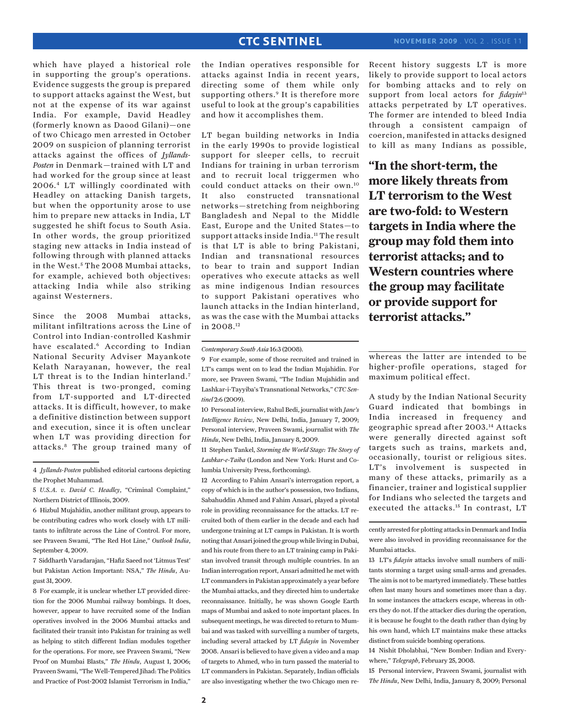which have played a historical role in supporting the group's operations. Evidence suggests the group is prepared to support attacks against the West, but not at the expense of its war against India. For example, David Headley (formerly known as Daood Gilani)—one of two Chicago men arrested in October 2009 on suspicion of planning terrorist attacks against the offices of *Jyllands-Posten* in Denmark—trained with LT and had worked for the group since at least 2006.4 LT willingly coordinated with Headley on attacking Danish targets, but when the opportunity arose to use him to prepare new attacks in India, LT suggested he shift focus to South Asia. In other words, the group prioritized staging new attacks in India instead of following through with planned attacks in the West. <sup>5</sup> The 2008 Mumbai attacks, for example, achieved both objectives: attacking India while also striking against Westerners.

Since the 2008 Mumbai attacks, militant infiltrations across the Line of Control into Indian-controlled Kashmir have escalated.<sup>6</sup> According to Indian National Security Adviser Mayankote Kelath Narayanan, however, the real LT threat is to the Indian hinterland.<sup>7</sup> This threat is two-pronged, coming from LT-supported and LT-directed attacks. It is difficult, however, to make a definitive distinction between support and execution, since it is often unclear when LT was providing direction for attacks.8 The group trained many of

7 Siddharth Varadarajan, "Hafiz Saeed not 'Litmus Test' but Pakistan Action Important: NSA," *The Hindu*, August 31, 2009.

8 For example, it is unclear whether LT provided direction for the 2006 Mumbai railway bombings. It does, however, appear to have recruited some of the Indian operatives involved in the 2006 Mumbai attacks and facilitated their transit into Pakistan for training as well as helping to stitch different Indian modules together for the operations. For more, see Praveen Swami, "New Proof on Mumbai Blasts," *The Hindu*, August 1, 2006; Praveen Swami, "The Well-Tempered Jihad: The Politics and Practice of Post-2002 Islamist Terrorism in India,"

the Indian operatives responsible for attacks against India in recent years, directing some of them while only supporting others.<sup>9</sup> It is therefore more useful to look at the group's capabilities and how it accomplishes them.

LT began building networks in India in the early 1990s to provide logistical support for sleeper cells, to recruit Indians for training in urban terrorism and to recruit local triggermen who could conduct attacks on their own.10 It also constructed transnational networks—stretching from neighboring Bangladesh and Nepal to the Middle East, Europe and the United States—to support attacks inside India.<sup>11</sup> The result is that LT is able to bring Pakistani, Indian and transnational resources to bear to train and support Indian operatives who execute attacks as well as mine indigenous Indian resources to support Pakistani operatives who launch attacks in the Indian hinterland, as was the case with the Mumbai attacks in 2008.12

*Contemporary South Asia* 16:3 (2008).

10 Personal interview, Rahul Bedi, journalist with *Jane's Intelligence Review*, New Delhi, India, January 7, 2009; Personal interview, Praveen Swami, journalist with *The Hindu*, New Delhi, India, January 8, 2009.

11 Stephen Tankel, *Storming the World Stage: The Story of Lashkar-e-Taiba* (London and New York: Hurst and Columbia University Press, forthcoming).

12 According to Fahim Ansari's interrogation report, a copy of which is in the author's possession, two Indians, Sabahuddin Ahmed and Fahim Ansari, played a pivotal role in providing reconnaissance for the attacks. LT recruited both of them earlier in the decade and each had undergone training at LT camps in Pakistan. It is worth noting that Ansari joined the group while living in Dubai, and his route from there to an LT training camp in Pakistan involved transit through multiple countries. In an Indian interrogation report, Ansari admitted he met with LT commanders in Pakistan approximately a year before the Mumbai attacks, and they directed him to undertake reconnaissance. Initially, he was shown Google Earth maps of Mumbai and asked to note important places. In subsequent meetings, he was directed to return to Mumbai and was tasked with surveilling a number of targets, including several attacked by LT *fidayin* in November 2008. Ansari is believed to have given a video and a map of targets to Ahmed, who in turn passed the material to LT commanders in Pakistan. Separately, Indian officials are also investigating whether the two Chicago men reRecent history suggests LT is more likely to provide support to local actors for bombing attacks and to rely on support from local actors for *fidayin*<sup>13</sup> attacks perpetrated by LT operatives. The former are intended to bleed India through a consistent campaign of coercion, manifested in attacks designed to kill as many Indians as possible,

**"In the short-term, the more likely threats from LT terrorism to the West are two-fold: to Western targets in India where the group may fold them into terrorist attacks; and to Western countries where the group may facilitate or provide support for terrorist attacks."**

whereas the latter are intended to be higher-profile operations, staged for maximum political effect.

A study by the Indian National Security Guard indicated that bombings in India increased in frequency and geographic spread after 2003.14 Attacks were generally directed against soft targets such as trains, markets and, occasionally, tourist or religious sites. LT's involvement is suspected in many of these attacks, primarily as a financier, trainer and logistical supplier for Indians who selected the targets and executed the attacks.15 In contrast, LT

cently arrested for plotting attacks in Denmark and India were also involved in providing reconnaissance for the Mumbai attacks.

13 LT's *fidayin* attacks involve small numbers of militants storming a target using small-arms and grenades. The aim is not to be martyred immediately. These battles often last many hours and sometimes more than a day. In some instances the attackers escape, whereas in others they do not. If the attacker dies during the operation, it is because he fought to the death rather than dying by his own hand, which LT maintains make these attacks distinct from suicide bombing operations.

14 Nishit Dholabhai, "New Bomber: Indian and Everywhere," *Telegraph*, February 25, 2008.

15 Personal interview, Praveen Swami, journalist with *The Hindu*, New Delhi, India, January 8, 2009; Personal

<sup>4</sup> *Jyllands-Posten* published editorial cartoons depicting the Prophet Muhammad.

<sup>5</sup> *U.S.A. v. David C. Headley*, "Criminal Complaint," Northern District of Illinois, 2009.

<sup>6</sup> Hizbul Mujahidin, another militant group, appears to be contributing cadres who work closely with LT militants to infiltrate across the Line of Control. For more, see Praveen Swami, "The Red Hot Line," *Outlook India*, September 4, 2009.

<sup>9</sup> For example, some of those recruited and trained in LT's camps went on to lead the Indian Mujahidin. For more, see Praveen Swami, "The Indian Mujahidin and Lashkar-i-Tayyiba's Transnational Networks," *CTC Sentinel* 2:6 (2009).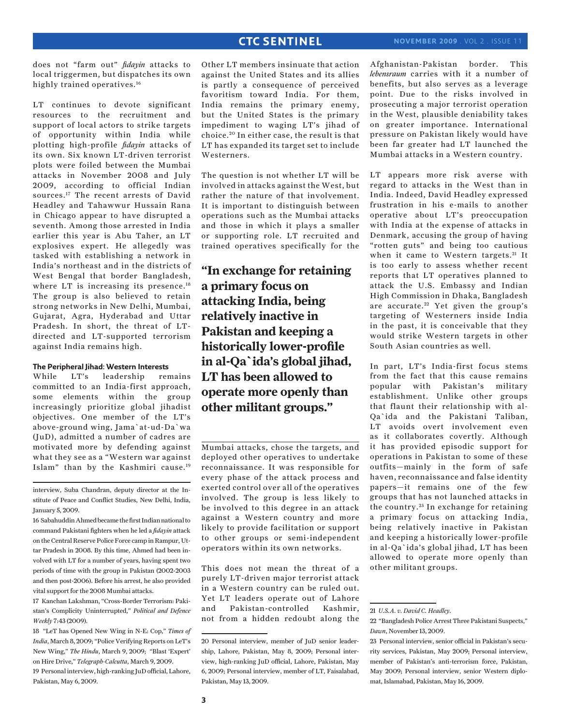does not "farm out" *fidayin* attacks to local triggermen, but dispatches its own highly trained operatives.<sup>16</sup>

LT continues to devote significant resources to the recruitment and support of local actors to strike targets of opportunity within India while plotting high-profile *fidayin* attacks of its own. Six known LT-driven terrorist plots were foiled between the Mumbai attacks in November 2008 and July 2009, according to official Indian sources.17 The recent arrests of David Headley and Tahawwur Hussain Rana in Chicago appear to have disrupted a seventh. Among those arrested in India earlier this year is Abu Taher, an LT explosives expert. He allegedly was tasked with establishing a network in India's northeast and in the districts of West Bengal that border Bangladesh, where LT is increasing its presence.<sup>18</sup> The group is also believed to retain strong networks in New Delhi, Mumbai, Gujarat, Agra, Hyderabad and Uttar Pradesh. In short, the threat of LTdirected and LT-supported terrorism against India remains high.

#### **The Peripheral Jihad: Western Interests**

While LT's leadership remains committed to an India-first approach, some elements within the group increasingly prioritize global jihadist objectives. One member of the LT's above-ground wing, Jama`at-ud-Da`wa (JuD), admitted a number of cadres are motivated more by defending against what they see as a "Western war against Islam" than by the Kashmiri cause.19

interview, Suba Chandran, deputy director at the Institute of Peace and Conflict Studies, New Delhi, India, January 5, 2009.

16 Sabahuddin Ahmed became the first Indian national to command Pakistani fighters when he led a *fidayin* attack on the Central Reserve Police Force camp in Rampur, Uttar Pradesh in 2008. By this time, Ahmed had been involved with LT for a number of years, having spent two periods of time with the group in Pakistan (2002-2003 and then post-2006). Before his arrest, he also provided vital support for the 2008 Mumbai attacks.

17 Kanchan Lakshman, "Cross-Border Terrorism: Pakistan's Complicity Uninterrupted," *Political and Defence Weekly* 7:43 (2009).

18 "LeT has Opened New Wing in N-E: Cop," *Times of India*, March 8, 2009; "Police Verifying Reports on LeT's New Wing," *The Hindu*, March 9, 2009; "Blast 'Expert' on Hire Drive," *Telegraph-Calcutta*, March 9, 2009. 19 Personal interview, high-ranking JuD official, Lahore, Pakistan, May 6, 2009.

Other LT members insinuate that action against the United States and its allies is partly a consequence of perceived favoritism toward India. For them, India remains the primary enemy, but the United States is the primary impediment to waging LT's jihad of choice. 20 In either case, the result is that LT has expanded its target set to include Westerners.

The question is not whether LT will be involved in attacks against the West, but rather the nature of that involvement. It is important to distinguish between operations such as the Mumbai attacks and those in which it plays a smaller or supporting role. LT recruited and trained operatives specifically for the

**"In exchange for retaining a primary focus on attacking India, being relatively inactive in Pakistan and keeping a historically lower-profile in al-Qa`ida's global jihad, LT has been allowed to operate more openly than other militant groups."**

Mumbai attacks, chose the targets, and deployed other operatives to undertake reconnaissance. It was responsible for every phase of the attack process and exerted control over all of the operatives involved. The group is less likely to be involved to this degree in an attack against a Western country and more likely to provide facilitation or support to other groups or semi-independent operators within its own networks.

This does not mean the threat of a purely LT-driven major terrorist attack in a Western country can be ruled out. Yet LT leaders operate out of Lahore and Pakistan-controlled Kashmir, not from a hidden redoubt along the Afghanistan-Pakistan border. This *lebensraum* carries with it a number of benefits, but also serves as a leverage point. Due to the risks involved in prosecuting a major terrorist operation in the West, plausible deniability takes on greater importance. International pressure on Pakistan likely would have been far greater had LT launched the Mumbai attacks in a Western country.

LT appears more risk averse with regard to attacks in the West than in India. Indeed, David Headley expressed frustration in his e-mails to another operative about LT's preoccupation with India at the expense of attacks in Denmark, accusing the group of having "rotten guts" and being too cautious when it came to Western targets.<sup>21</sup> It is too early to assess whether recent reports that LT operatives planned to attack the U.S. Embassy and Indian High Commission in Dhaka, Bangladesh are accurate.<sup>22</sup> Yet given the group's targeting of Westerners inside India in the past, it is conceivable that they would strike Western targets in other South Asian countries as well.

In part, LT's India-first focus stems from the fact that this cause remains popular with Pakistan's military establishment. Unlike other groups that flaunt their relationship with al-Qa`ida and the Pakistani Taliban, LT avoids overt involvement even as it collaborates covertly. Although it has provided episodic support for operations in Pakistan to some of these outfits—mainly in the form of safe haven, reconnaissance and false identity papers—it remains one of the few groups that has not launched attacks in the country. 23 In exchange for retaining a primary focus on attacking India, being relatively inactive in Pakistan and keeping a historically lower-profile in al-Qa`ida's global jihad, LT has been allowed to operate more openly than other militant groups.

<sup>20</sup> Personal interview, member of JuD senior leadership, Lahore, Pakistan, May 8, 2009; Personal interview, high-ranking JuD official, Lahore, Pakistan, May 6, 2009; Personal interview, member of LT, Faisalabad, Pakistan, May 13, 2009.

<sup>21</sup> *U.S.A. v. David C. Headley.*

<sup>22 &</sup>quot;Bangladesh Police Arrest Three Pakistani Suspects," *Dawn*, November 13, 2009.

<sup>23</sup> Personal interview, senior official in Pakistan's security services, Pakistan, May 2009; Personal interview, member of Pakistan's anti-terrorism force, Pakistan, May 2009; Personal interview, senior Western diplomat, Islamabad, Pakistan, May 16, 2009.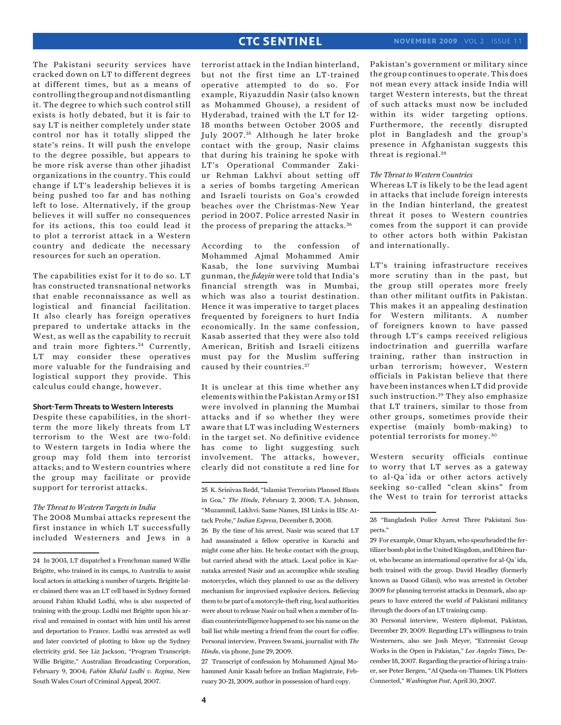The Pakistani security services have cracked down on LT to different degrees at different times, but as a means of controlling the group and not dismantling it. The degree to which such control still exists is hotly debated, but it is fair to say LT is neither completely under state control nor has it totally slipped the state's reins. It will push the envelope to the degree possible, but appears to be more risk averse than other jihadist organizations in the country. This could change if LT's leadership believes it is being pushed too far and has nothing left to lose. Alternatively, if the group believes it will suffer no consequences for its actions, this too could lead it to plot a terrorist attack in a Western country and dedicate the necessary resources for such an operation.

The capabilities exist for it to do so. LT has constructed transnational networks that enable reconnaissance as well as logistical and financial facilitation. It also clearly has foreign operatives prepared to undertake attacks in the West, as well as the capability to recruit and train more fighters.<sup>24</sup> Currently, LT may consider these operatives more valuable for the fundraising and logistical support they provide. This calculus could change, however.

### **Short-Term Threats to Western Interests**

Despite these capabilities, in the shortterm the more likely threats from LT terrorism to the West are two-fold: to Western targets in India where the group may fold them into terrorist attacks; and to Western countries where the group may facilitate or provide support for terrorist attacks.

#### *The Threat to Western Targets in India* The 2008 Mumbai attacks represent the

first instance in which LT successfully included Westerners and Jews in a terrorist attack in the Indian hinterland, but not the first time an LT-trained operative attempted to do so. For example, Riyazuddin Nasir (also known as Mohammed Ghouse), a resident of Hyderabad, trained with the LT for 12- 18 months between October 2005 and July 2007.<sup>25</sup> Although he later broke contact with the group, Nasir claims that during his training he spoke with LT's Operational Commander Zakiur Rehman Lakhvi about setting off a series of bombs targeting American and Israeli tourists on Goa's crowded beaches over the Christmas-New Year period in 2007. Police arrested Nasir in the process of preparing the attacks. <sup>26</sup>

According to the confession of Mohammed Ajmal Mohammed Amir Kasab, the lone surviving Mumbai gunman, the *fidayin* were told that India's financial strength was in Mumbai, which was also a tourist destination. Hence it was imperative to target places frequented by foreigners to hurt India economically. In the same confession, Kasab asserted that they were also told American, British and Israeli citizens must pay for the Muslim suffering caused by their countries. <sup>27</sup>

It is unclear at this time whether any elements within the Pakistan Army or ISI were involved in planning the Mumbai attacks and if so whether they were aware that LT was including Westerners in the target set. No definitive evidence has come to light suggesting such involvement. The attacks, however, clearly did not constitute a red line for

27 Transcript of confession by Mohammed Ajmal Mohammed Amir Kasab before an Indian Magistrate, February 20-21, 2009, author in possession of hard copy.

Pakistan's government or military since the group continues to operate. This does not mean every attack inside India will target Western interests, but the threat of such attacks must now be included within its wider targeting options. Furthermore, the recently disrupted plot in Bangladesh and the group's presence in Afghanistan suggests this threat is regional.<sup>28</sup>

#### *The Threat to Western Countries*

Whereas LT is likely to be the lead agent in attacks that include foreign interests in the Indian hinterland, the greatest threat it poses to Western countries comes from the support it can provide to other actors both within Pakistan and internationally.

LT's training infrastructure receives more scrutiny than in the past, but the group still operates more freely than other militant outfits in Pakistan. This makes it an appealing destination for Western militants. A number of foreigners known to have passed through LT's camps received religious indoctrination and guerrilla warfare training, rather than instruction in urban terrorism; however, Western officials in Pakistan believe that there have been instances when LT did provide such instruction.<sup>29</sup> They also emphasize that LT trainers, similar to those from other groups, sometimes provide their expertise (mainly bomb-making) to potential terrorists for money. <sup>30</sup>

Western security officials continue to worry that LT serves as a gateway to al-Qa`ida or other actors actively seeking so-called "clean skins" from the West to train for terrorist attacks

<sup>24</sup> In 2003, LT dispatched a Frenchman named Willie Brigitte, who trained in its camps, to Australia to assist local actors in attacking a number of targets. Brigitte later claimed there was an LT cell based in Sydney formed around Fahim Khalid Lodhi, who is also suspected of training with the group. Lodhi met Brigitte upon his arrival and remained in contact with him until his arrest and deportation to France. Lodhi was arrested as well and later convicted of plotting to blow up the Sydney electricity grid. See Liz Jackson, "Program Transcript: Willie Brigitte," Australian Broadcasting Corporation, February 9, 2004; *Fahim Khalid Lodhi v. Regina*, New South Wales Court of Criminal Appeal, 2007.

<sup>25</sup> K. Srinivas Redd, "Islamist Terrorists Planned Blasts in Goa," *The Hindu*, February 2, 2008; T.A. Johnson, "Muzammil, Lakhvi: Same Names, ISI Links in IISc Attack Probe," *Indian Express*, December 8, 2008.

<sup>26</sup> By the time of his arrest, Nasir was scared that LT had assassinated a fellow operative in Karachi and might come after him. He broke contact with the group, but carried ahead with the attack. Local police in Karnataka arrested Nasir and an accomplice while stealing motorcycles, which they planned to use as the delivery mechanism for improvised explosive devices. Believing them to be part of a motorcyle-theft ring, local authorities were about to release Nasir on bail when a member of Indian counterintelligence happened to see his name on the bail list while meeting a friend from the court for coffee. Personal interview, Praveen Swami, journalist with *The Hindu*, via phone, June 29, 2009.

<sup>28 &</sup>quot;Bangladesh Police Arrest Three Pakistani Suspects."

<sup>29</sup> For example, Omar Khyam, who spearheaded the fertilizer bomb plot in the United Kingdom, and Dhiren Barot, who became an international operative for al-Qa`ida, both trained with the group. David Headley (formerly known as Daood Gilani), who was arrested in October 2009 for planning terrorist attacks in Denmark, also appears to have entered the world of Pakistani militancy through the doors of an LT training camp.

<sup>30</sup> Personal interview, Western diplomat, Pakistan, December 29, 2009. Regarding LT's willingness to train Westerners, also see Josh Meyer, "Extremist Group Works in the Open in Pakistan," *Los Angeles Times*, December 18, 2007. Regarding the practice of hiring a trainer, see Peter Bergen, "Al Qaeda-on-Thames: UK Plotters Connected," *Washington Post*, April 30, 2007.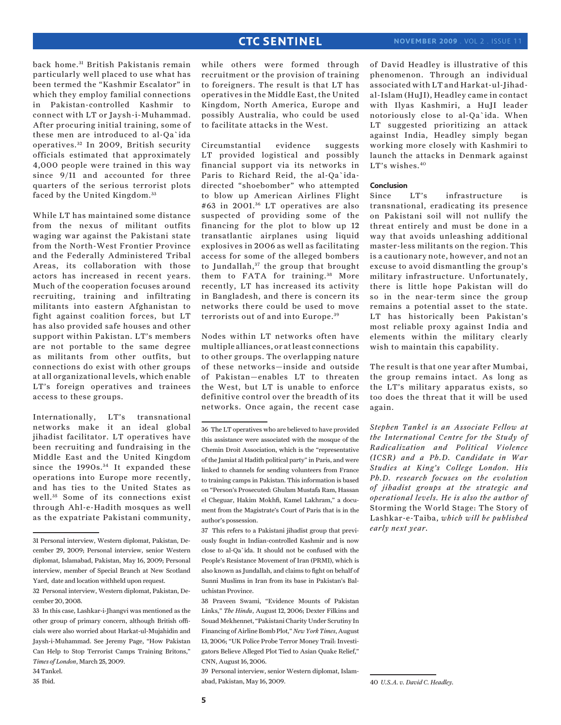back home.<sup>31</sup> British Pakistanis remain particularly well placed to use what has been termed the "Kashmir Escalator" in which they employ familial connections in Pakistan-controlled Kashmir to connect with LT or Jaysh-i-Muhammad. After procuring initial training, some of these men are introduced to al-Qa`ida operatives. 32 In 2009, British security officials estimated that approximately 4,000 people were trained in this way since 9/11 and accounted for three quarters of the serious terrorist plots faced by the United Kingdom.<sup>33</sup>

While LT has maintained some distance from the nexus of militant outfits waging war against the Pakistani state from the North-West Frontier Province and the Federally Administered Tribal Areas, its collaboration with those actors has increased in recent years. Much of the cooperation focuses around recruiting, training and infiltrating militants into eastern Afghanistan to fight against coalition forces, but LT has also provided safe houses and other support within Pakistan. LT's members are not portable to the same degree as militants from other outfits, but connections do exist with other groups at all organizational levels, which enable LT's foreign operatives and trainees access to these groups.

Internationally, LT's transnational networks make it an ideal global jihadist facilitator. LT operatives have been recruiting and fundraising in the Middle East and the United Kingdom since the 1990s.<sup>34</sup> It expanded these operations into Europe more recently, and has ties to the United States as well. 35 Some of its connections exist through Ahl-e-Hadith mosques as well as the expatriate Pakistani community,

34 Tankel.

35 Ibid.

while others were formed through recruitment or the provision of training to foreigners. The result is that LT has operatives in the Middle East, the United Kingdom, North America, Europe and possibly Australia, who could be used to facilitate attacks in the West.

Circumstantial evidence suggests LT provided logistical and possibly financial support via its networks in Paris to Richard Reid, the al-Qa`idadirected "shoebomber" who attempted to blow up American Airlines Flight #63 in 2001. 36 LT operatives are also suspected of providing some of the financing for the plot to blow up 12 transatlantic airplanes using liquid explosives in 2006 as well as facilitating access for some of the alleged bombers to Jundallah,<sup>37</sup> the group that brought them to FATA for training.<sup>38</sup> More recently, LT has increased its activity in Bangladesh, and there is concern its networks there could be used to move terrorists out of and into Europe. <sup>39</sup>

Nodes within LT networks often have multiple alliances, or at least connections to other groups. The overlapping nature of these networks—inside and outside of Pakistan—enables LT to threaten the West, but LT is unable to enforce definitive control over the breadth of its networks. Once again, the recent case

37 This refers to a Pakistani jihadist group that previously fought in Indian-controlled Kashmir and is now close to al-Qa`ida. It should not be confused with the People's Resistance Movement of Iran (PRMI), which is also known as Jundallah, and claims to fight on behalf of Sunni Muslims in Iran from its base in Pakistan's Baluchistan Province.

39 Personal interview, senior Western diplomat, Islamabad, Pakistan, May 16, 2009.

of David Headley is illustrative of this phenomenon. Through an individual associated with LT and Harkat-ul-Jihadal-Islam (HuJI), Headley came in contact with Ilyas Kashmiri, a HuJI leader notoriously close to al-Qa`ida. When LT suggested prioritizing an attack against India, Headley simply began working more closely with Kashmiri to launch the attacks in Denmark against LT's wishes.<sup>40</sup>

#### **Conclusion**

Since LT's infrastructure is transnational, eradicating its presence on Pakistani soil will not nullify the threat entirely and must be done in a way that avoids unleashing additional master-less militants on the region. This is a cautionary note, however, and not an excuse to avoid dismantling the group's military infrastructure. Unfortunately, there is little hope Pakistan will do so in the near-term since the group remains a potential asset to the state. LT has historically been Pakistan's most reliable proxy against India and elements within the military clearly wish to maintain this capability.

The result is that one year after Mumbai, the group remains intact. As long as the LT's military apparatus exists, so too does the threat that it will be used again.

*Stephen Tankel is an Associate Fellow at the International Centre for the Study of Radicalization and Political Violence (ICSR) and a Ph.D. Candidate in War Studies at King's College London. His Ph.D. research focuses on the evolution of jihadist groups at the strategic and operational levels. He is also the author of* Storming the World Stage: The Story of Lashkar-e-Taiba, *which will be published early next year.* 

<sup>31</sup> Personal interview, Western diplomat, Pakistan, December 29, 2009; Personal interview, senior Western diplomat, Islamabad, Pakistan, May 16, 2009; Personal interview, member of Special Branch at New Scotland Yard, date and location withheld upon request.

<sup>32</sup> Personal interview, Western diplomat, Pakistan, December 20, 2008.

<sup>33</sup> In this case, Lashkar-i-Jhangvi was mentioned as the other group of primary concern, although British officials were also worried about Harkat-ul-Mujahidin and Jaysh-i-Muhammad. See Jeremy Page, "How Pakistan Can Help to Stop Terrorist Camps Training Britons," *Times of London*, March 25, 2009.

<sup>36</sup> The LT operatives who are believed to have provided this assistance were associated with the mosque of the Chemin Droit Association, which is the "representative of the Jamiat al Hadith political party" in Paris, and were linked to channels for sending volunteers from France to training camps in Pakistan. This information is based on "Person's Prosecuted: Ghulam Mustafa Ram, Hassan el Cheguar, Hakim Mokhfi, Kamel Lakhram," a document from the Magistrate's Court of Paris that is in the author's possession.

<sup>38</sup> Praveen Swami, "Evidence Mounts of Pakistan Links," *The Hindu*, August 12, 2006; Dexter Filkins and Souad Mekhennet, "Pakistani Charity Under Scrutiny In Financing of Airline Bomb Plot," *New York Times*, August 13, 2006; "UK Police Probe Terror Money Trail: Investigators Believe Alleged Plot Tied to Asian Quake Relief," CNN, August 16, 2006.

<sup>40</sup> *U.S.A. v. David C. Headley.*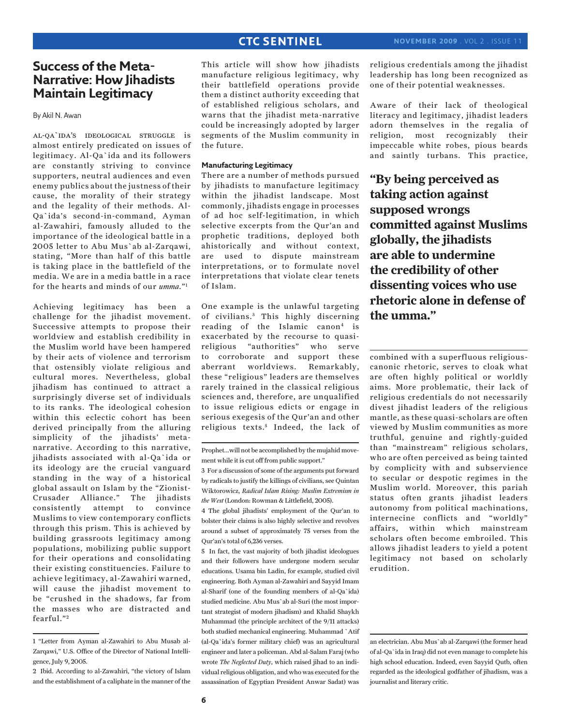### **Success of the Meta-Narrative: How Jihadists Maintain Legitimacy**

By Akil N. Awan

al-qa`ida's ideological struggle is almost entirely predicated on issues of legitimacy. Al-Qa`ida and its followers are constantly striving to convince supporters, neutral audiences and even enemy publics about the justness of their cause, the morality of their strategy and the legality of their methods. Al-Qa`ida's second-in-command, Ayman al-Zawahiri, famously alluded to the importance of the ideological battle in a 2005 letter to Abu Mus`ab al-Zarqawi, stating, "More than half of this battle is taking place in the battlefield of the media. We are in a media battle in a race for the hearts and minds of our *umma*."1

Achieving legitimacy has been a challenge for the jihadist movement. Successive attempts to propose their worldview and establish credibility in the Muslim world have been hampered by their acts of violence and terrorism that ostensibly violate religious and cultural mores. Nevertheless, global jihadism has continued to attract a surprisingly diverse set of individuals to its ranks. The ideological cohesion within this eclectic cohort has been derived principally from the alluring simplicity of the jihadists' metanarrative. According to this narrative, jihadists associated with al-Qa`ida or its ideology are the crucial vanguard standing in the way of a historical global assault on Islam by the "Zionist-Crusader Alliance." The jihadists consistently attempt to convince Muslims to view contemporary conflicts through this prism. This is achieved by building grassroots legitimacy among populations, mobilizing public support for their operations and consolidating their existing constituencies. Failure to achieve legitimacy, al-Zawahiri warned, will cause the jihadist movement to be "crushed in the shadows, far from the masses who are distracted and fearful."<sup>2</sup>

This article will show how jihadists manufacture religious legitimacy, why their battlefield operations provide them a distinct authority exceeding that of established religious scholars, and warns that the jihadist meta-narrative could be increasingly adopted by larger segments of the Muslim community in the future.

### **Manufacturing Legitimacy**

There are a number of methods pursued by jihadists to manufacture legitimacy within the jihadist landscape. Most commonly, jihadists engage in processes of ad hoc self-legitimation, in which selective excerpts from the Qur'an and prophetic traditions, deployed both ahistorically and without context, are used to dispute mainstream interpretations, or to formulate novel interpretations that violate clear tenets of Islam.

One example is the unlawful targeting of civilians.<sup>3</sup> This highly discerning reading of the Islamic canon<sup>4</sup> is exacerbated by the recourse to quasireligious "authorities" who serve to corroborate and support these aberrant worldviews. Remarkably, these "religious" leaders are themselves rarely trained in the classical religious sciences and, therefore, are unqualified to issue religious edicts or engage in serious exegesis of the Qur'an and other religious texts.<sup>5</sup> Indeed, the lack of

4 The global jihadists' employment of the Qur'an to bolster their claims is also highly selective and revolves around a subset of approximately 75 verses from the Qur'an's total of 6,236 verses.

5 In fact, the vast majority of both jihadist ideologues and their followers have undergone modern secular educations. Usama bin Ladin, for example, studied civil engineering. Both Ayman al-Zawahiri and Sayyid Imam al-Sharif (one of the founding members of al-Qa`ida) studied medicine. Abu Mus`ab al-Suri (the most important strategist of modern jihadism) and Khalid Shaykh Muhammad (the principle architect of the 9/11 attacks) both studied mechanical engineering. Muhammad `Atif (al-Qa`ida's former military chief) was an agricultural engineer and later a policeman. Abd al-Salam Faraj (who wrote *The Neglected Duty*, which raised jihad to an individual religious obligation, and who was executed for the assassination of Egyptian President Anwar Sadat) was

religious credentials among the jihadist leadership has long been recognized as one of their potential weaknesses.

Aware of their lack of theological literacy and legitimacy, jihadist leaders adorn themselves in the regalia of religion, most recognizably their impeccable white robes, pious beards and saintly turbans. This practice,

**"By being perceived as taking action against supposed wrongs committed against Muslims globally, the jihadists are able to undermine the credibility of other dissenting voices who use rhetoric alone in defense of the umma."**

combined with a superfluous religiouscanonic rhetoric, serves to cloak what are often highly political or worldly aims. More problematic, their lack of religious credentials do not necessarily divest jihadist leaders of the religious mantle, as these quasi-scholars are often viewed by Muslim communities as more truthful, genuine and rightly-guided than "mainstream" religious scholars, who are often perceived as being tainted by complicity with and subservience to secular or despotic regimes in the Muslim world. Moreover, this pariah status often grants jihadist leaders autonomy from political machinations, internecine conflicts and "worldly" affairs, within which mainstream scholars often become embroiled. This allows jihadist leaders to yield a potent legitimacy not based on scholarly erudition.

an electrician. Abu Mus`ab al-Zarqawi (the former head of al-Qa`ida in Iraq) did not even manage to complete his high school education. Indeed, even Sayyid Qutb, often regarded as the ideological godfather of jihadism, was a journalist and literary critic.

<sup>1 &</sup>quot;Letter from Ayman al-Zawahiri to Abu Musab al-Zarqawi," U.S. Office of the Director of National Intelligence, July 9, 2005.

<sup>2</sup> Ibid. According to al-Zawahiri, "the victory of Islam and the establishment of a caliphate in the manner of the

Prophet...will not be accomplished by the mujahid movement while it is cut off from public support."

<sup>3</sup> For a discussion of some of the arguments put forward by radicals to justify the killings of civilians, see Quintan Wiktorowicz, *Radical Islam Rising: Muslim Extremism in the West* (London: Rowman & Littlefield, 2005).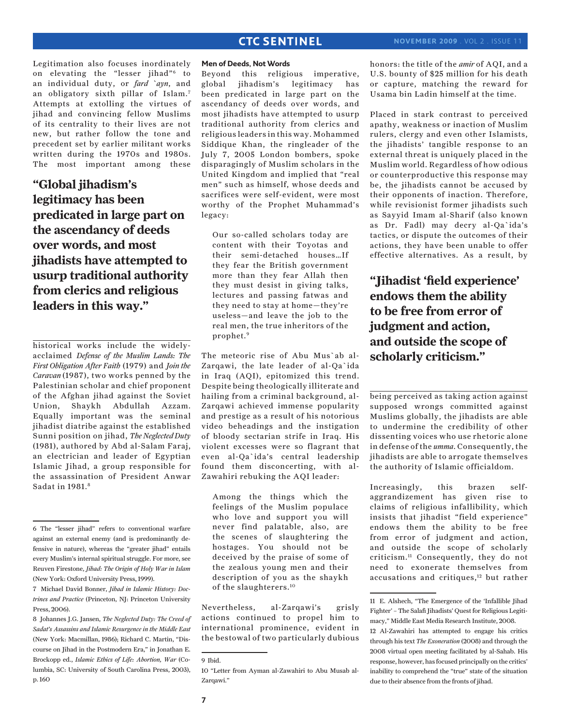Legitimation also focuses inordinately on elevating the "lesser jihad"6 to an individual duty, or *fard `ayn*, and an obligatory sixth pillar of Islam.7 Attempts at extolling the virtues of jihad and convincing fellow Muslims of its centrality to their lives are not new, but rather follow the tone and precedent set by earlier militant works written during the 1970s and 1980s. The most important among these

**"Global jihadism's legitimacy has been predicated in large part on the ascendancy of deeds over words, and most jihadists have attempted to usurp traditional authority from clerics and religious leaders in this way."**

historical works include the widelyacclaimed *Defense of the Muslim Lands: The First Obligation After Faith* (1979) and *Join the Caravan* (1987), two works penned by the Palestinian scholar and chief proponent of the Afghan jihad against the Soviet Union, Shaykh Abdullah Azzam. Equally important was the seminal jihadist diatribe against the established Sunni position on jihad, *The Neglected Duty* (1981), authored by Abd al-Salam Faraj, an electrician and leader of Egyptian Islamic Jihad, a group responsible for the assassination of President Anwar Sadat in 1981.8

#### **Men of Deeds, Not Words**

Beyond this religious imperative, global jihadism's legitimacy has been predicated in large part on the ascendancy of deeds over words, and most jihadists have attempted to usurp traditional authority from clerics and religious leaders in this way. Mohammed Siddique Khan, the ringleader of the July 7, 2005 London bombers, spoke disparagingly of Muslim scholars in the United Kingdom and implied that "real men" such as himself, whose deeds and sacrifices were self-evident, were most worthy of the Prophet Muhammad's legacy:

Our so-called scholars today are content with their Toyotas and their semi-detached houses…If they fear the British government more than they fear Allah then they must desist in giving talks, lectures and passing fatwas and they need to stay at home—they're useless—and leave the job to the real men, the true inheritors of the prophet.9

The meteoric rise of Abu Mus`ab al-Zarqawi, the late leader of al-Qa`ida in Iraq (AQI), epitomized this trend. Despite being theologically illiterate and hailing from a criminal background, al-Zarqawi achieved immense popularity and prestige as a result of his notorious video beheadings and the instigation of bloody sectarian strife in Iraq. His violent excesses were so flagrant that even al-Qa`ida's central leadership found them disconcerting, with al-Zawahiri rebuking the AQI leader:

Among the things which the feelings of the Muslim populace who love and support you will never find palatable, also, are the scenes of slaughtering the hostages. You should not be deceived by the praise of some of the zealous young men and their description of you as the shaykh of the slaughterers.10

Nevertheless, al-Zarqawi's grisly actions continued to propel him to international prominence, evident in the bestowal of two particularly dubious honors: the title of the *amir* of AQI, and a U.S. bounty of \$25 million for his death or capture, matching the reward for Usama bin Ladin himself at the time.

Placed in stark contrast to perceived apathy, weakness or inaction of Muslim rulers, clergy and even other Islamists, the jihadists' tangible response to an external threat is uniquely placed in the Muslim world. Regardless of how odious or counterproductive this response may be, the jihadists cannot be accused by their opponents of inaction. Therefore, while revisionist former jihadists such as Sayyid Imam al-Sharif (also known as Dr. Fadl) may decry al-Qa`ida's tactics, or dispute the outcomes of their actions, they have been unable to offer effective alternatives. As a result, by

**"Jihadist 'field experience' endows them the ability to be free from error of judgment and action, and outside the scope of scholarly criticism."**

being perceived as taking action against supposed wrongs committed against Muslims globally, the jihadists are able to undermine the credibility of other dissenting voices who use rhetoric alone in defense of the *umma*. Consequently, the jihadists are able to arrogate themselves the authority of Islamic officialdom.

Increasingly, this brazen selfaggrandizement has given rise to claims of religious infallibility, which insists that jihadist "field experience" endows them the ability to be free from error of judgment and action, and outside the scope of scholarly criticism.11 Consequently, they do not need to exonerate themselves from accusations and critiques,<sup>12</sup> but rather

<sup>6</sup> The "lesser jihad" refers to conventional warfare against an external enemy (and is predominantly defensive in nature), whereas the "greater jihad" entails every Muslim's internal spiritual struggle. For more, see Reuven Firestone, *Jihad: The Origin of Holy War in Islam* (New York: Oxford University Press, 1999).

<sup>7</sup> Michael David Bonner, *Jihad in Islamic History: Doctrines and Practice* (Princeton, NJ: Princeton University Press, 2006).

<sup>8</sup> Johannes J.G. Jansen, *The Neglected Duty: The Creed of Sadat's Assassins and Islamic Resurgence in the Middle East* (New York: Macmillan, 1986); Richard C. Martin, "Discourse on Jihad in the Postmodern Era," in Jonathan E. Brockopp ed., *Islamic Ethics of Life: Abortion, War* (Columbia, SC: University of South Carolina Press, 2003), p. 160

<sup>9</sup> Ibid.

<sup>10 &</sup>quot;Letter from Ayman al-Zawahiri to Abu Musab al-Zarqawi."

<sup>11</sup> E. Alshech, "The Emergence of the 'Infallible Jihad Fighter' – The Salafi Jihadists' Quest for Religious Legitimacy," Middle East Media Research Institute, 2008.

<sup>12</sup> Al-Zawahiri has attempted to engage his critics through his text *The Exoneration* (2008) and through the 2008 virtual open meeting facilitated by al-Sahab. His response, however, has focused principally on the critics' inability to comprehend the "true" state of the situation due to their absence from the fronts of jihad.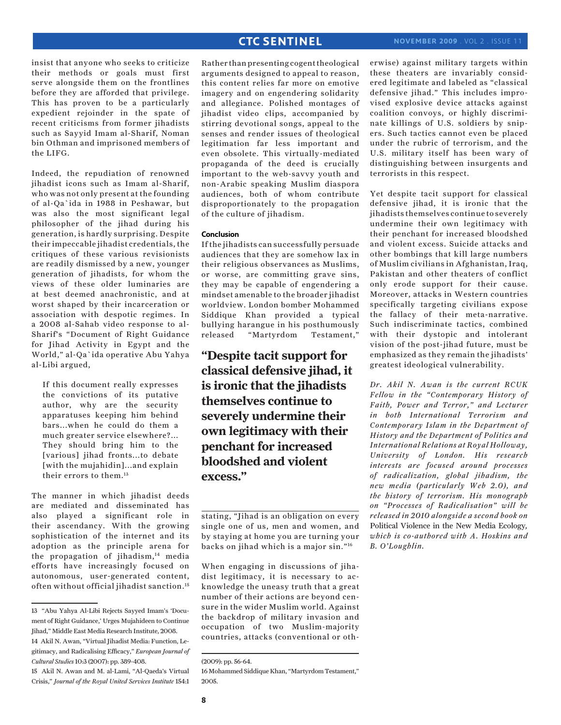insist that anyone who seeks to criticize their methods or goals must first serve alongside them on the frontlines before they are afforded that privilege. This has proven to be a particularly expedient rejoinder in the spate of recent criticisms from former jihadists such as Sayyid Imam al-Sharif, Noman bin Othman and imprisoned members of the LIFG.

Indeed, the repudiation of renowned jihadist icons such as Imam al-Sharif, who was not only present at the founding of al-Qa`ida in 1988 in Peshawar, but was also the most significant legal philosopher of the jihad during his generation, is hardly surprising. Despite their impeccable jihadist credentials, the critiques of these various revisionists are readily dismissed by a new, younger generation of jihadists, for whom the views of these older luminaries are at best deemed anachronistic, and at worst shaped by their incarceration or association with despotic regimes. In a 2008 al-Sahab video response to al-Sharif's "Document of Right Guidance for Jihad Activity in Egypt and the World," al-Qa`ida operative Abu Yahya al-Libi argued,

If this document really expresses the convictions of its putative author, why are the security apparatuses keeping him behind bars...when he could do them a much greater service elsewhere?... They should bring him to the [various] jihad fronts...to debate [with the mujahidin]...and explain their errors to them.13

The manner in which jihadist deeds are mediated and disseminated has also played a significant role in their ascendancy. With the growing sophistication of the internet and its adoption as the principle arena for the propagation of jihadism, $14$  media efforts have increasingly focused on autonomous, user-generated content, often without official jihadist sanction.<sup>15</sup>

Rather than presenting cogent theological arguments designed to appeal to reason, this content relies far more on emotive imagery and on engendering solidarity and allegiance. Polished montages of jihadist video clips, accompanied by stirring devotional songs, appeal to the senses and render issues of theological legitimation far less important and even obsolete. This virtually-mediated propaganda of the deed is crucially important to the web-savvy youth and non-Arabic speaking Muslim diaspora audiences, both of whom contribute disproportionately to the propagation of the culture of jihadism.

#### **Conclusion**

If the jihadists can successfully persuade audiences that they are somehow lax in their religious observances as Muslims, or worse, are committing grave sins, they may be capable of engendering a mindset amenable to the broader jihadist worldview. London bomber Mohammed Siddique Khan provided a typical bullying harangue in his posthumously released "Martyrdom Testament,"

**"Despite tacit support for classical defensive jihad, it is ironic that the jihadists themselves continue to severely undermine their own legitimacy with their penchant for increased bloodshed and violent excess."**

stating, "Jihad is an obligation on every single one of us, men and women, and by staying at home you are turning your backs on jihad which is a major sin."16

When engaging in discussions of jihadist legitimacy, it is necessary to acknowledge the uneasy truth that a great number of their actions are beyond censure in the wider Muslim world. Against the backdrop of military invasion and occupation of two Muslim-majority countries, attacks (conventional or otherwise) against military targets within these theaters are invariably considered legitimate and labeled as "classical defensive jihad." This includes improvised explosive device attacks against coalition convoys, or highly discriminate killings of U.S. soldiers by snipers. Such tactics cannot even be placed under the rubric of terrorism, and the U.S. military itself has been wary of distinguishing between insurgents and terrorists in this respect.

Yet despite tacit support for classical defensive jihad, it is ironic that the jihadists themselves continue to severely undermine their own legitimacy with their penchant for increased bloodshed and violent excess. Suicide attacks and other bombings that kill large numbers of Muslim civilians in Afghanistan, Iraq, Pakistan and other theaters of conflict only erode support for their cause. Moreover, attacks in Western countries specifically targeting civilians expose the fallacy of their meta-narrative. Such indiscriminate tactics, combined with their dystopic and intolerant vision of the post-jihad future, must be emphasized as they remain the jihadists' greatest ideological vulnerability.

*Dr. Akil N. Awan is the current RCUK Fellow in the "Contemporary History of Faith, Power and Terror," and Lecturer in both International Terrorism and Contemporary Islam in the Department of History and the Department of Politics and International Relations at Royal Holloway, University of London. His research interests are focused around processes of radicalization, global jihadism, the new media (particularly Web 2.0), and the history of terrorism. His monograph on "Processes of Radicalisation" will be released in 2010 alongside a second book on*  Political Violence in the New Media Ecology*, which is co-authored with A. Hoskins and B. O'Loughlin.*

<sup>13 &</sup>quot;Abu Yahya Al-Libi Rejects Sayyed Imam's 'Document of Right Guidance,' Urges Mujahideen to Continue Jihad," Middle East Media Research Institute, 2008. 14 Akil N. Awan, "Virtual Jihadist Media: Function, Legitimacy, and Radicalising Efficacy," *European Journal of* 

*Cultural Studies* 10:3 (2007): pp. 389-408. 15 Akil N. Awan and M. al-Lami, "Al-Qaeda's Virtual Crisis," *Journal of the Royal United Services Institute* 154:1

<sup>(2009):</sup> pp. 56-64.

<sup>16</sup> Mohammed Siddique Khan, "Martyrdom Testament," 2005.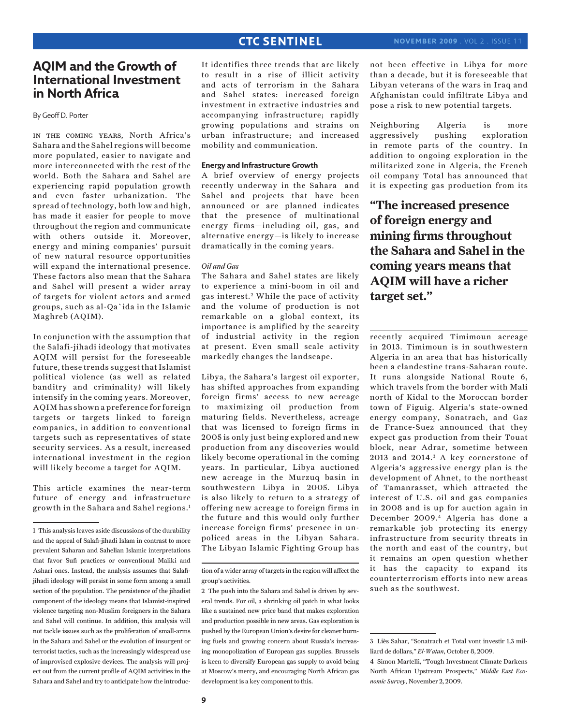### **AQIM and the Growth of International Investment in North Africa**

By Geoff D. Porter

in the coming years, North Africa's Sahara and the Sahel regions will become more populated, easier to navigate and more interconnected with the rest of the world. Both the Sahara and Sahel are experiencing rapid population growth and even faster urbanization. The spread of technology, both low and high, has made it easier for people to move throughout the region and communicate with others outside it. Moreover, energy and mining companies' pursuit of new natural resource opportunities will expand the international presence. These factors also mean that the Sahara and Sahel will present a wider array of targets for violent actors and armed groups, such as al-Qa`ida in the Islamic Maghreb (AQIM).

In conjunction with the assumption that the Salafi-jihadi ideology that motivates AQIM will persist for the foreseeable future, these trends suggest that Islamist political violence (as well as related banditry and criminality) will likely intensify in the coming years. Moreover, AQIM has shown a preference for foreign targets or targets linked to foreign companies, in addition to conventional targets such as representatives of state security services. As a result, increased international investment in the region will likely become a target for AQIM.

This article examines the near-term future of energy and infrastructure growth in the Sahara and Sahel regions.1

It identifies three trends that are likely to result in a rise of illicit activity and acts of terrorism in the Sahara and Sahel states: increased foreign investment in extractive industries and accompanying infrastructure; rapidly growing populations and strains on urban infrastructure; and increased mobility and communication.

### **Energy and Infrastructure Growth**

A brief overview of energy projects recently underway in the Sahara and Sahel and projects that have been announced or are planned indicates that the presence of multinational energy firms—including oil, gas, and alternative energy—is likely to increase dramatically in the coming years.

#### *Oil and Gas*

The Sahara and Sahel states are likely to experience a mini-boom in oil and gas interest.<sup>2</sup> While the pace of activity and the volume of production is not remarkable on a global context, its importance is amplified by the scarcity of industrial activity in the region at present. Even small scale activity markedly changes the landscape.

Libya, the Sahara's largest oil exporter, has shifted approaches from expanding foreign firms' access to new acreage to maximizing oil production from maturing fields. Nevertheless, acreage that was licensed to foreign firms in 2005 is only just being explored and new production from any discoveries would likely become operational in the coming years. In particular, Libya auctioned new acreage in the Murzuq basin in southwestern Libya in 2005. Libya is also likely to return to a strategy of offering new acreage to foreign firms in the future and this would only further increase foreign firms' presence in unpoliced areas in the Libyan Sahara. The Libyan Islamic Fighting Group has

not been effective in Libya for more than a decade, but it is foreseeable that Libyan veterans of the wars in Iraq and Afghanistan could infiltrate Libya and pose a risk to new potential targets.

Neighboring Algeria is more aggressively pushing exploration in remote parts of the country. In addition to ongoing exploration in the militarized zone in Algeria, the French oil company Total has announced that it is expecting gas production from its

**"The increased presence of foreign energy and mining firms throughout the Sahara and Sahel in the coming years means that AQIM will have a richer target set."**

recently acquired Timimoun acreage in 2013. Timimoun is in southwestern Algeria in an area that has historically been a clandestine trans-Saharan route. It runs alongside National Route 6, which travels from the border with Mali north of Kidal to the Moroccan border town of Figuig. Algeria's state-owned energy company, Sonatrach, and Gaz de France-Suez announced that they expect gas production from their Touat block, near Adrar, sometime between 2013 and 2014.<sup>3</sup> A key cornerstone of Algeria's aggressive energy plan is the development of Ahnet, to the northeast of Tamanrasset, which attracted the interest of U.S. oil and gas companies in 2008 and is up for auction again in December 2009.4 Algeria has done a remarkable job protecting its energy infrastructure from security threats in the north and east of the country, but it remains an open question whether it has the capacity to expand its counterterrorism efforts into new areas such as the southwest.

<sup>1</sup> This analysis leaves aside discussions of the durability and the appeal of Salafi-jihadi Islam in contrast to more prevalent Saharan and Sahelian Islamic interpretations that favor Sufi practices or conventional Maliki and Ashari ones. Instead, the analysis assumes that Salafijihadi ideology will persist in some form among a small section of the population. The persistence of the jihadist component of the ideology means that Islamist-inspired violence targeting non-Muslim foreigners in the Sahara and Sahel will continue. In addition, this analysis will not tackle issues such as the proliferation of small-arms in the Sahara and Sahel or the evolution of insurgent or terrorist tactics, such as the increasingly widespread use of improvised explosive devices. The analysis will project out from the current profile of AQIM activities in the Sahara and Sahel and try to anticipate how the introduc-

tion of a wider array of targets in the region will affect the group's activities.

<sup>2</sup> The push into the Sahara and Sahel is driven by several trends. For oil, a shrinking oil patch in what looks like a sustained new price band that makes exploration and production possible in new areas. Gas exploration is pushed by the European Union's desire for cleaner burning fuels and growing concern about Russia's increasing monopolization of European gas supplies. Brussels is keen to diversify European gas supply to avoid being at Moscow's mercy, and encouraging North African gas development is a key component to this.

<sup>3</sup> Liès Sahar, "Sonatrach et Total vont investir 1,3 milliard de dollars," *El-Watan*, October 8, 2009.

<sup>4</sup> Simon Martelli, "Tough Investment Climate Darkens North African Upstream Prospects," *Middle East Economic Survey*, November 2, 2009.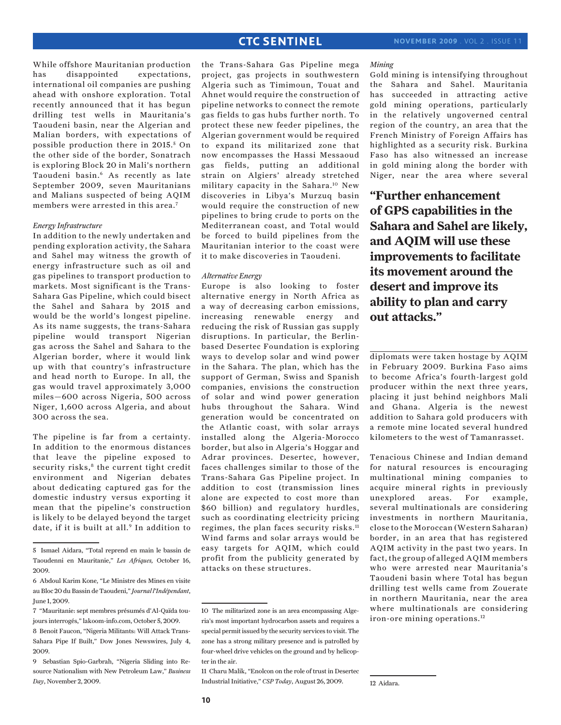While offshore Mauritanian production has disappointed expectations, international oil companies are pushing ahead with onshore exploration. Total recently announced that it has begun drilling test wells in Mauritania's Taoudeni basin, near the Algerian and Malian borders, with expectations of possible production there in 2015.<sup>5</sup> On the other side of the border, Sonatrach is exploring Block 20 in Mali's northern Taoudeni basin.6 As recently as late September 2009, seven Mauritanians and Malians suspected of being AQIM members were arrested in this area.7

#### *Energy Infrastructure*

In addition to the newly undertaken and pending exploration activity, the Sahara and Sahel may witness the growth of energy infrastructure such as oil and gas pipelines to transport production to markets. Most significant is the Trans-Sahara Gas Pipeline, which could bisect the Sahel and Sahara by 2015 and would be the world's longest pipeline. As its name suggests, the trans-Sahara pipeline would transport Nigerian gas across the Sahel and Sahara to the Algerian border, where it would link up with that country's infrastructure and head north to Europe. In all, the gas would travel approximately 3,000 miles—600 across Nigeria, 500 across Niger, 1,600 across Algeria, and about 300 across the sea.

The pipeline is far from a certainty. In addition to the enormous distances that leave the pipeline exposed to security risks,<sup>8</sup> the current tight credit environment and Nigerian debates about dedicating captured gas for the domestic industry versus exporting it mean that the pipeline's construction is likely to be delayed beyond the target date, if it is built at all.<sup>9</sup> In addition to

the Trans-Sahara Gas Pipeline mega project, gas projects in southwestern Algeria such as Timimoun, Touat and Ahnet would require the construction of pipeline networks to connect the remote gas fields to gas hubs further north. To protect these new feeder pipelines, the Algerian government would be required to expand its militarized zone that now encompasses the Hassi Messaoud gas fields, putting an additional strain on Algiers' already stretched military capacity in the Sahara.10 New discoveries in Libya's Murzuq basin would require the construction of new pipelines to bring crude to ports on the Mediterranean coast, and Total would be forced to build pipelines from the Mauritanian interior to the coast were it to make discoveries in Taoudeni.

### *Alternative Energy*

Europe is also looking to foster alternative energy in North Africa as a way of decreasing carbon emissions, increasing renewable energy and reducing the risk of Russian gas supply disruptions. In particular, the Berlinbased Desertec Foundation is exploring ways to develop solar and wind power in the Sahara. The plan, which has the support of German, Swiss and Spanish companies, envisions the construction of solar and wind power generation hubs throughout the Sahara. Wind generation would be concentrated on the Atlantic coast, with solar arrays installed along the Algeria-Morocco border, but also in Algeria's Hoggar and Adrar provinces. Desertec, however, faces challenges similar to those of the Trans-Sahara Gas Pipeline project. In addition to cost (transmission lines alone are expected to cost more than \$60 billion) and regulatory hurdles, such as coordinating electricity pricing regimes, the plan faces security risks.<sup>11</sup> Wind farms and solar arrays would be easy targets for AQIM, which could profit from the publicity generated by attacks on these structures.

#### *Mining*

Gold mining is intensifying throughout the Sahara and Sahel. Mauritania has succeeded in attracting active gold mining operations, particularly in the relatively ungoverned central region of the country, an area that the French Ministry of Foreign Affairs has highlighted as a security risk. Burkina Faso has also witnessed an increase in gold mining along the border with Niger, near the area where several

**"Further enhancement of GPS capabilities in the Sahara and Sahel are likely, and AQIM will use these improvements to facilitate its movement around the desert and improve its ability to plan and carry out attacks."**

diplomats were taken hostage by AQIM in February 2009. Burkina Faso aims to become Africa's fourth-largest gold producer within the next three years, placing it just behind neighbors Mali and Ghana. Algeria is the newest addition to Sahara gold producers with a remote mine located several hundred kilometers to the west of Tamanrasset.

Tenacious Chinese and Indian demand for natural resources is encouraging multinational mining companies to acquire mineral rights in previously unexplored areas. For example, several multinationals are considering investments in northern Mauritania, close to the Moroccan (Western Saharan) border, in an area that has registered AQIM activity in the past two years. In fact, the group of alleged AQIM members who were arrested near Mauritania's Taoudeni basin where Total has begun drilling test wells came from Zouerate in northern Mauritania, near the area where multinationals are considering iron-ore mining operations.<sup>12</sup>

12 Aidara.

<sup>5</sup> Ismael Aidara, "Total reprend en main le bassin de Taoudenni en Mauritanie," *Les Afriques,* October 16, 2009.

<sup>6</sup> Abdoul Karim Kone, "Le Ministre des Mines en visite au Bloc 20 du Bassin de Taoudeni," *Journal l'Indépendant*, June 1, 2009.

<sup>7 &</sup>quot;Mauritanie: sept membres présumés d'Al-Qaïda toujours interrogés," lakoom-info.com, October 5, 2009.

<sup>8</sup> Benoit Faucon, "Nigeria Militants: Will Attack Trans-Sahara Pipe If Built," Dow Jones Newswires, July 4, 2009.

<sup>9</sup> Sebastian Spio-Garbrah, "Nigeria Sliding into Resource Nationalism with New Petroleum Law," *Business Day*, November 2, 2009.

<sup>10</sup> The militarized zone is an area encompassing Algeria's most important hydrocarbon assets and requires a special permit issued by the security services to visit. The zone has a strong military presence and is patrolled by four-wheel drive vehicles on the ground and by helicopter in the air.

<sup>11</sup> Charu Malik, "Enolcon on the role of trust in Desertec Industrial Initiative," *CSP Today*, August 26, 2009.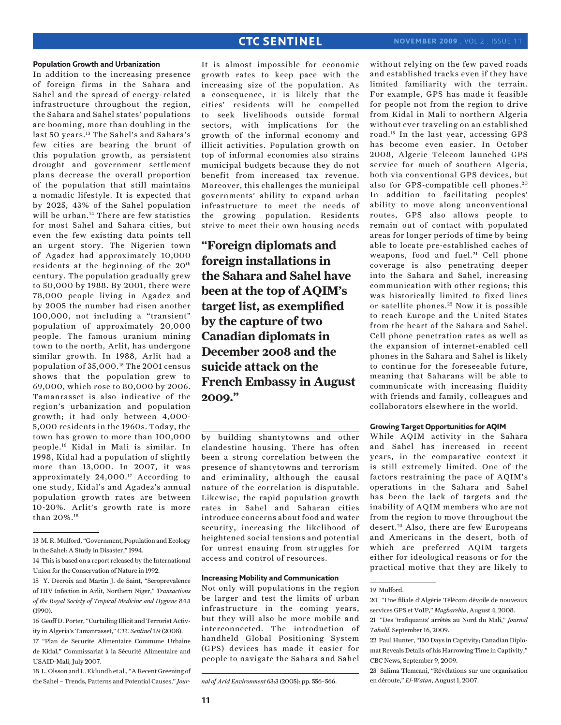#### **Population Growth and Urbanization**

In addition to the increasing presence of foreign firms in the Sahara and Sahel and the spread of energy-related infrastructure throughout the region, the Sahara and Sahel states' populations are booming, more than doubling in the last 50 years.<sup>13</sup> The Sahel's and Sahara's few cities are bearing the brunt of this population growth, as persistent drought and government settlement plans decrease the overall proportion of the population that still maintains a nomadic lifestyle. It is expected that by 2025, 43% of the Sahel population will be urban.<sup>14</sup> There are few statistics for most Sahel and Sahara cities, but even the few existing data points tell an urgent story. The Nigerien town of Agadez had approximately 10,000 residents at the beginning of the  $20<sup>th</sup>$ century. The population gradually grew to 50,000 by 1988. By 2001, there were 78,000 people living in Agadez and by 2005 the number had risen another 100,000, not including a "transient" population of approximately 20,000 people. The famous uranium mining town to the north, Arlit, has undergone similar growth. In 1988, Arlit had a population of 35,000.15 The 2001 census shows that the population grew to 69,000, which rose to 80,000 by 2006. Tamanrasset is also indicative of the region's urbanization and population growth; it had only between 4,000- 5,000 residents in the 1960s. Today, the town has grown to more than 100,000 people.16 Kidal in Mali is similar. In 1998, Kidal had a population of slightly more than 13,000. In 2007, it was approximately 24,000.17 According to one study, Kidal's and Agadez's annual population growth rates are between 10-20%. Arlit's growth rate is more than 20%.18

18 L. Olsson and L. Eklundh et al., "A Recent Greening of the Sahel – Trends, Patterns and Potential Causes," *Jour-*

It is almost impossible for economic growth rates to keep pace with the increasing size of the population. As a consequence, it is likely that the cities' residents will be compelled to seek livelihoods outside formal sectors, with implications for the growth of the informal economy and illicit activities. Population growth on top of informal economies also strains municipal budgets because they do not benefit from increased tax revenue. Moreover, this challenges the municipal governments' ability to expand urban infrastructure to meet the needs of the growing population. Residents strive to meet their own housing needs

**"Foreign diplomats and foreign installations in the Sahara and Sahel have been at the top of AQIM's target list, as exemplified by the capture of two Canadian diplomats in December 2008 and the suicide attack on the French Embassy in August 2009."**

by building shantytowns and other clandestine housing. There has often been a strong correlation between the presence of shantytowns and terrorism and criminality, although the causal nature of the correlation is disputable. Likewise, the rapid population growth rates in Sahel and Saharan cities introduce concerns about food and water security, increasing the likelihood of heightened social tensions and potential for unrest ensuing from struggles for access and control of resources.

#### **Increasing Mobility and Communication**

Not only will populations in the region be larger and test the limits of urban infrastructure in the coming years, but they will also be more mobile and interconnected. The introduction of handheld Global Positioning System (GPS) devices has made it easier for people to navigate the Sahara and Sahel without relying on the few paved roads and established tracks even if they have limited familiarity with the terrain. For example, GPS has made it feasible for people not from the region to drive from Kidal in Mali to northern Algeria without ever traveling on an established road.19 In the last year, accessing GPS has become even easier. In October 2008, Algerie Telecom launched GPS service for much of southern Algeria, both via conventional GPS devices, but also for GPS-compatible cell phones. <sup>20</sup> In addition to facilitating peoples' ability to move along unconventional routes, GPS also allows people to remain out of contact with populated areas for longer periods of time by being able to locate pre-established caches of weapons, food and fuel.<sup>21</sup> Cell phone coverage is also penetrating deeper into the Sahara and Sahel, increasing communication with other regions; this was historically limited to fixed lines or satellite phones.<sup>22</sup> Now it is possible to reach Europe and the United States from the heart of the Sahara and Sahel. Cell phone penetration rates as well as the expansion of internet-enabled cell phones in the Sahara and Sahel is likely to continue for the foreseeable future, meaning that Saharans will be able to communicate with increasing fluidity with friends and family, colleagues and collaborators elsewhere in the world.

#### **Growing Target Opportunities for AQIM**

While AQIM activity in the Sahara and Sahel has increased in recent years, in the comparative context it is still extremely limited. One of the factors restraining the pace of AQIM's operations in the Sahara and Sahel has been the lack of targets and the inability of AQIM members who are not from the region to move throughout the desert.<sup>23</sup> Also, there are few Europeans and Americans in the desert, both of which are preferred AQIM targets either for ideological reasons or for the practical motive that they are likely to

<sup>13</sup> M. R. Mulford, "Government, Population and Ecology in the Sahel: A Study in Disaster," 1994.

<sup>14</sup> This is based on a report released by the International Union for the Conservation of Nature in 1992.

<sup>15</sup> Y. Decroix and Martin J. de Saint, "Seroprevalence of HIV Infection in Arlit, Northern Niger," *Transactions of the Royal Society of Tropical Medicine and Hygiene* 84:1 (1990).

<sup>16</sup> Geoff D. Porter, "Curtailing Illicit and Terrorist Activity in Algeria's Tamanrasset," *CTC Sentinel* 1:9 (2008). 17 "Plan de Securite Alimentaire Commune Urbaine

de Kidal," Commissariat à la Sécurité Alimentaire and USAID-Mali, July 2007.

*nal of Arid Environment* 63:3 (2005): pp. 556–566.

<sup>19</sup> Mulford.

<sup>20 &</sup>quot;Une filiale d'Algérie Télécom dévoile de nouveaux services GPS et VoIP," *Magharebia*, August 4, 2008. 21 "Des 'trafiquants' arrêtés au Nord du Mali," *Journal* 

*Tahalil*, September 16, 2009.

<sup>22</sup> Paul Hunter, "130 Days in Captivity; Canadian Diplomat Reveals Details of his Harrowing Time in Captivity," CBC News, September 9, 2009.

<sup>23</sup> Salima Tlemcani, "Révélations sur une organisation en déroute," *El-Watan*, August 1, 2007.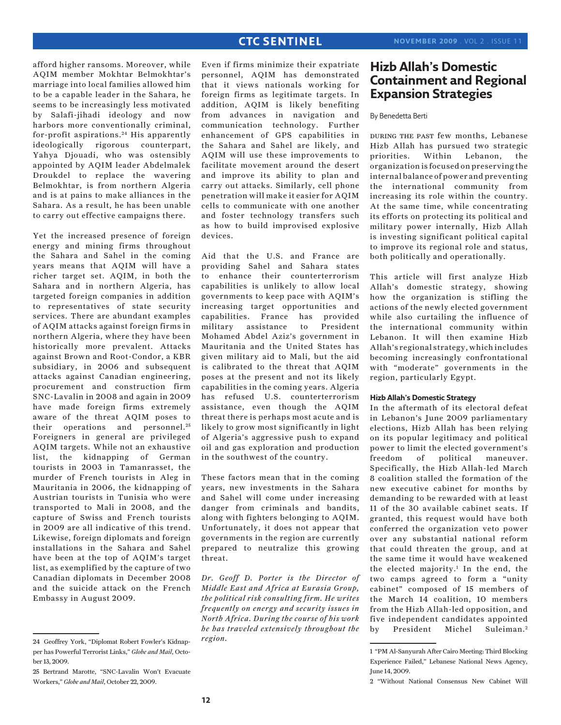afford higher ransoms. Moreover, while AQIM member Mokhtar Belmokhtar's marriage into local families allowed him to be a capable leader in the Sahara, he seems to be increasingly less motivated by Salafi-jihadi ideology and now harbors more conventionally criminal, for-profit aspirations. 24 His apparently ideologically rigorous counterpart, Yahya Djouadi, who was ostensibly appointed by AQIM leader Abdelmalek Droukdel to replace the wavering Belmokhtar, is from northern Algeria and is at pains to make alliances in the Sahara. As a result, he has been unable to carry out effective campaigns there.

Yet the increased presence of foreign energy and mining firms throughout the Sahara and Sahel in the coming years means that AQIM will have a richer target set. AQIM, in both the Sahara and in northern Algeria, has targeted foreign companies in addition to representatives of state security services. There are abundant examples of AQIM attacks against foreign firms in northern Algeria, where they have been historically more prevalent. Attacks against Brown and Root-Condor, a KBR subsidiary, in 2006 and subsequent attacks against Canadian engineering, procurement and construction firm SNC-Lavalin in 2008 and again in 2009 have made foreign firms extremely aware of the threat AQIM poses to their operations and personnel.<sup>25</sup> Foreigners in general are privileged AQIM targets. While not an exhaustive list, the kidnapping of German tourists in 2003 in Tamanrasset, the murder of French tourists in Aleg in Mauritania in 2006, the kidnapping of Austrian tourists in Tunisia who were transported to Mali in 2008, and the capture of Swiss and French tourists in 2009 are all indicative of this trend. Likewise, foreign diplomats and foreign installations in the Sahara and Sahel have been at the top of AQIM's target list, as exemplified by the capture of two Canadian diplomats in December 2008 and the suicide attack on the French Embassy in August 2009.

Even if firms minimize their expatriate personnel, AQIM has demonstrated that it views nationals working for foreign firms as legitimate targets. In addition, AQIM is likely benefiting from advances in navigation and communication technology. Further enhancement of GPS capabilities in the Sahara and Sahel are likely, and AQIM will use these improvements to facilitate movement around the desert and improve its ability to plan and carry out attacks. Similarly, cell phone penetration will make it easier for AQIM cells to communicate with one another and foster technology transfers such as how to build improvised explosive devices.

Aid that the U.S. and France are providing Sahel and Sahara states to enhance their counterterrorism capabilities is unlikely to allow local governments to keep pace with AQIM's increasing target opportunities and capabilities. France has provided military assistance to President Mohamed Abdel Aziz's government in Mauritania and the United States has given military aid to Mali, but the aid is calibrated to the threat that AQIM poses at the present and not its likely capabilities in the coming years. Algeria has refused U.S. counterterrorism assistance, even though the AQIM threat there is perhaps most acute and is likely to grow most significantly in light of Algeria's aggressive push to expand oil and gas exploration and production in the southwest of the country.

These factors mean that in the coming years, new investments in the Sahara and Sahel will come under increasing danger from criminals and bandits, along with fighters belonging to AQIM. Unfortunately, it does not appear that governments in the region are currently prepared to neutralize this growing threat.

*Dr. Geoff D. Porter is the Director of Middle East and Africa at Eurasia Group, the political risk consulting firm. He writes frequently on energy and security issues in North Africa. During the course of his work he has traveled extensively throughout the region.* 

### **Hizb Allah's Domestic Containment and Regional Expansion Strategies**

### By Benedetta Berti

during the past few months, Lebanese Hizb Allah has pursued two strategic priorities. Within Lebanon, the organization is focused on preserving the internal balance of power and preventing the international community from increasing its role within the country. At the same time, while concentrating its efforts on protecting its political and military power internally, Hizb Allah is investing significant political capital to improve its regional role and status, both politically and operationally.

This article will first analyze Hizb Allah's domestic strategy, showing how the organization is stifling the actions of the newly elected government while also curtailing the influence of the international community within Lebanon. It will then examine Hizb Allah's regional strategy, which includes becoming increasingly confrontational with "moderate" governments in the region, particularly Egypt.

#### **Hizb Allah's Domestic Strategy**

In the aftermath of its electoral defeat in Lebanon's June 2009 parliamentary elections, Hizb Allah has been relying on its popular legitimacy and political power to limit the elected government's freedom of political maneuver. Specifically, the Hizb Allah-led March 8 coalition stalled the formation of the new executive cabinet for months by demanding to be rewarded with at least 11 of the 30 available cabinet seats. If granted, this request would have both conferred the organization veto power over any substantial national reform that could threaten the group, and at the same time it would have weakened the elected majority.1 In the end, the two camps agreed to form a "unity cabinet" composed of 15 members of the March 14 coalition, 10 members from the Hizb Allah-led opposition, and five independent candidates appointed by President Michel Suleiman.<sup>2</sup>

<sup>24</sup> Geoffrey York, "Diplomat Robert Fowler's Kidnapper has Powerful Terrorist Links," *Globe and Mail*, October 13, 2009.

<sup>25</sup> Bertrand Marotte, "SNC-Lavalin Won't Evacuate Workers," *Globe and Mail*, October 22, 2009.

<sup>1 &</sup>quot;PM Al-Sanyurah After Cairo Meeting: Third Blocking Experience Failed," Lebanese National News Agency, June 14, 2009.

<sup>2 &</sup>quot;Without National Consensus New Cabinet Will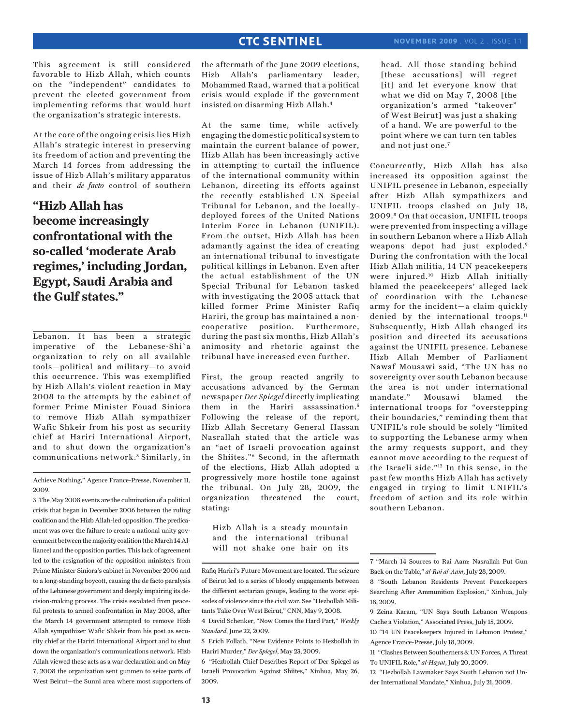This agreement is still considered favorable to Hizb Allah, which counts on the "independent" candidates to prevent the elected government from implementing reforms that would hurt the organization's strategic interests.

At the core of the ongoing crisis lies Hizb Allah's strategic interest in preserving its freedom of action and preventing the March 14 forces from addressing the issue of Hizb Allah's military apparatus and their *de facto* control of southern

**"Hizb Allah has become increasingly confrontational with the so-called 'moderate Arab regimes,' including Jordan, Egypt, Saudi Arabia and the Gulf states."**

Lebanon. It has been a strategic imperative of the Lebanese-Shi`a organization to rely on all available tools—political and military—to avoid this occurrence. This was exemplified by Hizb Allah's violent reaction in May 2008 to the attempts by the cabinet of former Prime Minister Fouad Siniora to remove Hizb Allah sympathizer Wafic Shkeir from his post as security chief at Hariri International Airport, and to shut down the organization's communications network.<sup>3</sup> Similarly, in

Achieve Nothing," Agence France-Presse, November 11, 2009.

3 The May 2008 events are the culmination of a political crisis that began in December 2006 between the ruling coalition and the Hizb Allah-led opposition. The predicament was over the failure to create a national unity government between the majority coalition (the March 14 Alliance) and the opposition parties. This lack of agreement led to the resignation of the opposition ministers from Prime Minister Siniora's cabinet in November 2006 and to a long-standing boycott, causing the de facto paralysis of the Lebanese government and deeply impairing its decision-making process. The crisis escalated from peaceful protests to armed confrontation in May 2008, after the March 14 government attempted to remove Hizb Allah sympathizer Wafic Shkeir from his post as security chief at the Hariri International Airport and to shut down the organization's communications network. Hizb Allah viewed these acts as a war declaration and on May 7, 2008 the organization sent gunmen to seize parts of West Beirut—the Sunni area where most supporters of the aftermath of the June 2009 elections, Hizb Allah's parliamentary leader, Mohammed Raad, warned that a political crisis would explode if the government insisted on disarming Hizb Allah.4

At the same time, while actively engaging the domestic political system to maintain the current balance of power, Hizb Allah has been increasingly active in attempting to curtail the influence of the international community within Lebanon, directing its efforts against the recently established UN Special Tribunal for Lebanon, and the locallydeployed forces of the United Nations Interim Force in Lebanon (UNIFIL). From the outset, Hizb Allah has been adamantly against the idea of creating an international tribunal to investigate political killings in Lebanon. Even after the actual establishment of the UN Special Tribunal for Lebanon tasked with investigating the 2005 attack that killed former Prime Minister Rafiq Hariri, the group has maintained a noncooperative position. Furthermore, during the past six months, Hizb Allah's animosity and rhetoric against the tribunal have increased even further.

First, the group reacted angrily to accusations advanced by the German newspaper *Der Spiegel* directly implicating them in the Hariri assassination.<sup>5</sup> Following the release of the report, Hizb Allah Secretary General Hassan Nasrallah stated that the article was an "act of Israeli provocation against the Shiites."6 Second, in the aftermath of the elections, Hizb Allah adopted a progressively more hostile tone against the tribunal. On July 28, 2009, the organization threatened the court, stating:

Hizb Allah is a steady mountain and the international tribunal will not shake one hair on its head. All those standing behind [these accusations] will regret [it] and let everyone know that what we did on May 7, 2008 [the organization's armed "takeover" of West Beirut] was just a shaking of a hand. We are powerful to the point where we can turn ten tables and not just one.<sup>7</sup>

Concurrently, Hizb Allah has also increased its opposition against the UNIFIL presence in Lebanon, especially after Hizb Allah sympathizers and UNIFIL troops clashed on July 18, 2009.8 On that occasion, UNIFIL troops were prevented from inspecting a village in southern Lebanon where a Hizb Allah weapons depot had just exploded.9 During the confrontation with the local Hizb Allah militia, 14 UN peacekeepers were injured.10 Hizb Allah initially blamed the peacekeepers' alleged lack of coordination with the Lebanese army for the incident—a claim quickly denied by the international troops.<sup>11</sup> Subsequently, Hizb Allah changed its position and directed its accusations against the UNIFIL presence. Lebanese Hizb Allah Member of Parliament Nawaf Mousawi said, "The UN has no sovereignty over south Lebanon because the area is not under international mandate." Mousawi blamed the international troops for "overstepping their boundaries," reminding them that UNIFIL's role should be solely "limited to supporting the Lebanese army when the army requests support, and they cannot move according to the request of the Israeli side."12 In this sense, in the past few months Hizb Allah has actively engaged in trying to limit UNIFIL's freedom of action and its role within southern Lebanon.

Rafiq Hariri's Future Movement are located. The seizure of Beirut led to a series of bloody engagements between the different sectarian groups, leading to the worst episodes of violence since the civil war. See "Hezbollah Militants Take Over West Beirut," CNN, May 9, 2008.

<sup>4</sup> David Schenker, "Now Comes the Hard Part," *Weekly Standard*, June 22, 2009.

<sup>5</sup> Erich Follath, "New Evidence Points to Hezbollah in Hariri Murder," *Der Spiegel*, May 23, 2009.

<sup>6 &</sup>quot;Hezbollah Chief Describes Report of Der Spiegel as Israeli Provocation Against Shiites," Xinhua, May 26, 2009.

<sup>7 &</sup>quot;March 14 Sources to Rai Aam: Nasrallah Put Gun Back on the Table," *al-Rai al-Aam*, July 28, 2009.

<sup>8 &</sup>quot;South Lebanon Residents Prevent Peacekeepers Searching After Ammunition Explosion," Xinhua, July 18, 2009.

<sup>9</sup> Zeina Karam, "UN Says South Lebanon Weapons Cache a Violation," Associated Press, July 15, 2009.

<sup>10 &</sup>quot;14 UN Peacekeepers Injured in Lebanon Protest," Agence France-Presse, July 18, 2009.

<sup>11 &</sup>quot;Clashes Between Southerners & UN Forces, A Threat To UNIFIL Role," *al-Hayat*, July 20, 2009.

<sup>12 &</sup>quot;Hezbollah Lawmaker Says South Lebanon not Under International Mandate," Xinhua, July 21, 2009.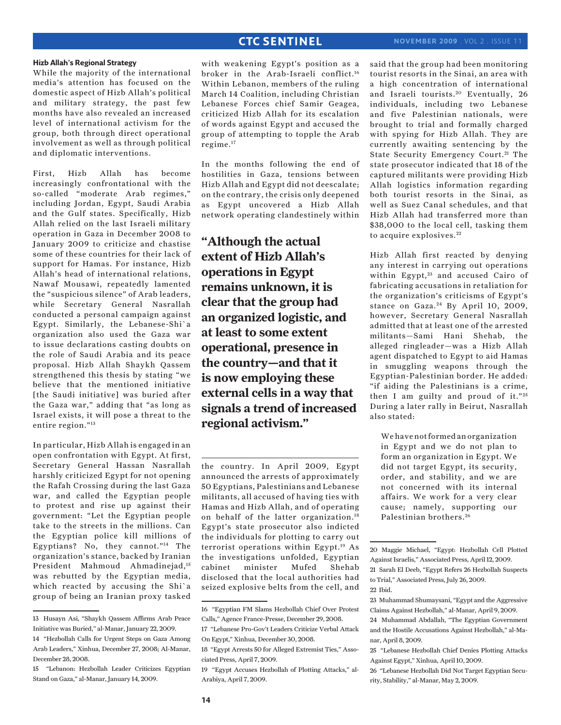While the majority of the international media's attention has focused on the domestic aspect of Hizb Allah's political and military strategy, the past few months have also revealed an increased level of international activism for the group, both through direct operational involvement as well as through political and diplomatic interventions.

First, Hizb Allah has become increasingly confrontational with the so-called "moderate Arab regimes," including Jordan, Egypt, Saudi Arabia and the Gulf states. Specifically, Hizb Allah relied on the last Israeli military operation in Gaza in December 2008 to January 2009 to criticize and chastise some of these countries for their lack of support for Hamas. For instance, Hizb Allah's head of international relations, Nawaf Mousawi, repeatedly lamented the "suspicious silence" of Arab leaders, while Secretary General Nasrallah conducted a personal campaign against Egypt. Similarly, the Lebanese-Shi`a organization also used the Gaza war to issue declarations casting doubts on the role of Saudi Arabia and its peace proposal. Hizb Allah Shaykh Qassem strengthened this thesis by stating "we believe that the mentioned initiative [the Saudi initiative] was buried after the Gaza war," adding that "as long as Israel exists, it will pose a threat to the entire region."13

In particular, Hizb Allah is engaged in an open confrontation with Egypt. At first, Secretary General Hassan Nasrallah harshly criticized Egypt for not opening the Rafah Crossing during the last Gaza war, and called the Egyptian people to protest and rise up against their government: "Let the Egyptian people take to the streets in the millions. Can the Egyptian police kill millions of Egyptians? No, they cannot."14 The organization's stance, backed by Iranian President Mahmoud Ahmadinejad,15 was rebutted by the Egyptian media, which reacted by accusing the Shi`a group of being an Iranian proxy tasked

with weakening Egypt's position as a broker in the Arab-Israeli conflict.16 Within Lebanon, members of the ruling March 14 Coalition, including Christian Lebanese Forces chief Samir Geagea, criticized Hizb Allah for its escalation of words against Egypt and accused the group of attempting to topple the Arab regime.17

In the months following the end of hostilities in Gaza, tensions between Hizb Allah and Egypt did not deescalate; on the contrary, the crisis only deepened as Egypt uncovered a Hizb Allah network operating clandestinely within

**"Although the actual extent of Hizb Allah's operations in Egypt remains unknown, it is clear that the group had an organized logistic, and at least to some extent operational, presence in the country—and that it is now employing these external cells in a way that signals a trend of increased regional activism."**

the country. In April 2009, Egypt announced the arrests of approximately 50 Egyptians, Palestinians and Lebanese militants, all accused of having ties with Hamas and Hizb Allah, and of operating on behalf of the latter organization.18 Egypt's state prosecutor also indicted the individuals for plotting to carry out terrorist operations within Egypt.<sup>19</sup> As the investigations unfolded, Egyptian cabinet minister Mufed Shehab disclosed that the local authorities had seized explosive belts from the cell, and said that the group had been monitoring tourist resorts in the Sinai, an area with a high concentration of international and Israeli tourists.<sup>20</sup> Eventually, 26 individuals, including two Lebanese and five Palestinian nationals, were brought to trial and formally charged with spying for Hizb Allah. They are currently awaiting sentencing by the State Security Emergency Court.<sup>21</sup> The state prosecutor indicated that 18 of the captured militants were providing Hizb Allah logistics information regarding both tourist resorts in the Sinai, as well as Suez Canal schedules, and that Hizb Allah had transferred more than \$38,000 to the local cell, tasking them to acquire explosives.<sup>22</sup>

Hizb Allah first reacted by denying any interest in carrying out operations within Egypt,<sup>23</sup> and accused Cairo of fabricating accusations in retaliation for the organization's criticisms of Egypt's stance on Gaza.<sup>24</sup> By April 10, 2009, however, Secretary General Nasrallah admitted that at least one of the arrested militants—Sami Hani Shehab, the alleged ringleader—was a Hizb Allah agent dispatched to Egypt to aid Hamas in smuggling weapons through the Egyptian-Palestinian border. He added: "if aiding the Palestinians is a crime, then I am guilty and proud of it." $25$ During a later rally in Beirut, Nasrallah also stated:

We have not formed an organization in Egypt and we do not plan to form an organization in Egypt. We did not target Egypt, its security, order, and stability, and we are not concerned with its internal affairs. We work for a very clear cause; namely, supporting our Palestinian brothers. <sup>26</sup>

<sup>13</sup> Husayn Asi, "Shaykh Qassem Affirms Arab Peace Initiative was Buried," al-Manar, January 22, 2009.

<sup>14 &</sup>quot;Hezbollah Calls for Urgent Steps on Gaza Among Arab Leaders," Xinhua, December 27, 2008; Al-Manar, December 28, 2008.

<sup>15 &</sup>quot;Lebanon: Hezbollah Leader Criticizes Egyptian Stand on Gaza," al-Manar, January 14, 2009.

<sup>16 &</sup>quot;Egyptian FM Slams Hezbollah Chief Over Protest Calls," Agence France-Presse, December 29, 2008.

<sup>17 &</sup>quot;Lebanese Pro-Gov't Leaders Criticize Verbal Attack On Egypt," Xinhua, December 30, 2008.

<sup>18 &</sup>quot;Egypt Arrests 50 for Alleged Extremist Ties," Associated Press, April 7, 2009.

<sup>19 &</sup>quot;Egypt Accuses Hezbollah of Plotting Attacks," al-Arabiya, April 7, 2009.

<sup>20</sup> Maggie Michael, "Egypt: Hezbollah Cell Plotted Against Israelis," Associated Press, April 12, 2009. 21 Sarah El Deeb, "Egypt Refers 26 Hezbollah Suspects to Trial," Associated Press, July 26, 2009. 22 Ibid.

<sup>23</sup> Muhammad Shumaysani, "Egypt and the Aggressive Claims Against Hezbollah," al-Manar, April 9, 2009. 24 Muhammad Abdallah, "The Egyptian Government

and the Hostile Accusations Against Hezbollah," al-Manar, April 8, 2009.

<sup>25 &</sup>quot;Lebanese Hezbollah Chief Denies Plotting Attacks Against Egypt," Xinhua, April 10, 2009.

<sup>26 &</sup>quot;Lebanese Hezbollah Did Not Target Egyptian Security, Stability," al-Manar, May 2, 2009.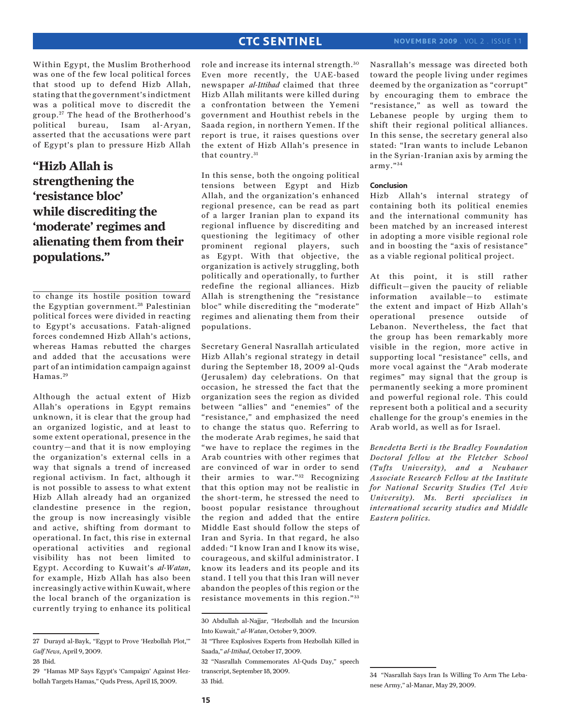Within Egypt, the Muslim Brotherhood was one of the few local political forces that stood up to defend Hizb Allah, stating that the government's indictment was a political move to discredit the group. 27 The head of the Brotherhood's political bureau, Isam al-Aryan, asserted that the accusations were part of Egypt's plan to pressure Hizb Allah

**"Hizb Allah is strengthening the 'resistance bloc' while discrediting the 'moderate' regimes and alienating them from their populations."**

to change its hostile position toward the Egyptian government.<sup>28</sup> Palestinian political forces were divided in reacting to Egypt's accusations. Fatah-aligned forces condemned Hizb Allah's actions, whereas Hamas rebutted the charges and added that the accusations were part of an intimidation campaign against Hamas.<sup>29</sup>

Although the actual extent of Hizb Allah's operations in Egypt remains unknown, it is clear that the group had an organized logistic, and at least to some extent operational, presence in the country—and that it is now employing the organization's external cells in a way that signals a trend of increased regional activism. In fact, although it is not possible to assess to what extent Hizb Allah already had an organized clandestine presence in the region, the group is now increasingly visible and active, shifting from dormant to operational. In fact, this rise in external operational activities and regional visibility has not been limited to Egypt. According to Kuwait's *al-Watan*, for example, Hizb Allah has also been increasingly active within Kuwait, where the local branch of the organization is currently trying to enhance its political role and increase its internal strength. <sup>30</sup> Even more recently, the UAE-based newspaper *al-Ittihad* claimed that three Hizb Allah militants were killed during a confrontation between the Yemeni government and Houthist rebels in the Saada region, in northern Yemen. If the report is true, it raises questions over the extent of Hizb Allah's presence in that country.<sup>31</sup>

In this sense, both the ongoing political tensions between Egypt and Hizb Allah, and the organization's enhanced regional presence, can be read as part of a larger Iranian plan to expand its regional influence by discrediting and questioning the legitimacy of other prominent regional players, such as Egypt. With that objective, the organization is actively struggling, both politically and operationally, to further redefine the regional alliances. Hizb Allah is strengthening the "resistance bloc" while discrediting the "moderate" regimes and alienating them from their populations.

Secretary General Nasrallah articulated Hizb Allah's regional strategy in detail during the September 18, 2009 al-Quds (Jerusalem) day celebrations. On that occasion, he stressed the fact that the organization sees the region as divided between "allies" and "enemies" of the "resistance," and emphasized the need to change the status quo. Referring to the moderate Arab regimes, he said that "we have to replace the regimes in the Arab countries with other regimes that are convinced of war in order to send their armies to war."<sup>32</sup> Recognizing that this option may not be realistic in the short-term, he stressed the need to boost popular resistance throughout the region and added that the entire Middle East should follow the steps of Iran and Syria. In that regard, he also added: "I know Iran and I know its wise, courageous, and skilful administrator. I know its leaders and its people and its stand. I tell you that this Iran will never abandon the peoples of this region or the resistance movements in this region."33 Nasrallah's message was directed both toward the people living under regimes deemed by the organization as "corrupt" by encouraging them to embrace the "resistance," as well as toward the Lebanese people by urging them to shift their regional political alliances. In this sense, the secretary general also stated: "Iran wants to include Lebanon in the Syrian-Iranian axis by arming the army." <sup>34</sup>

### **Conclusion**

Hizb Allah's internal strategy of containing both its political enemies and the international community has been matched by an increased interest in adopting a more visible regional role and in boosting the "axis of resistance" as a viable regional political project.

At this point, it is still rather difficult—given the paucity of reliable information available—to estimate the extent and impact of Hizb Allah's operational presence outside of Lebanon. Nevertheless, the fact that the group has been remarkably more visible in the region, more active in supporting local "resistance" cells, and more vocal against the "Arab moderate regimes" may signal that the group is permanently seeking a more prominent and powerful regional role. This could represent both a political and a security challenge for the group's enemies in the Arab world, as well as for Israel.

*Benedetta Berti is the Bradley Foundation Doctoral fellow at the Fletcher School (Tufts University), and a Neubauer Associate Research Fellow at the Institute for National Security Studies (Tel Aviv University). Ms. Berti specializes in international security studies and Middle Eastern politics.*

<sup>27</sup> Durayd al-Bayk, "Egypt to Prove 'Hezbollah Plot,'" *Gulf News*, April 9, 2009.

<sup>28</sup> Ibid.

<sup>29 &</sup>quot;Hamas MP Says Egypt's 'Campaign' Against Hezbollah Targets Hamas," Quds Press, April 15, 2009.

<sup>30</sup> Abdullah al-Najjar, "Hezbollah and the Incursion Into Kuwait," *al-Watan*, October 9, 2009.

<sup>31 &</sup>quot;Three Explosives Experts from Hezbollah Killed in Saada," *al-Ittihad*, October 17, 2009.

<sup>32 &</sup>quot;Nasrallah Commemorates Al-Quds Day," speech transcript, September 18, 2009. 33 Ibid.

<sup>34 &</sup>quot;Nasrallah Says Iran Is Willing To Arm The Lebanese Army," al-Manar, May 29, 2009.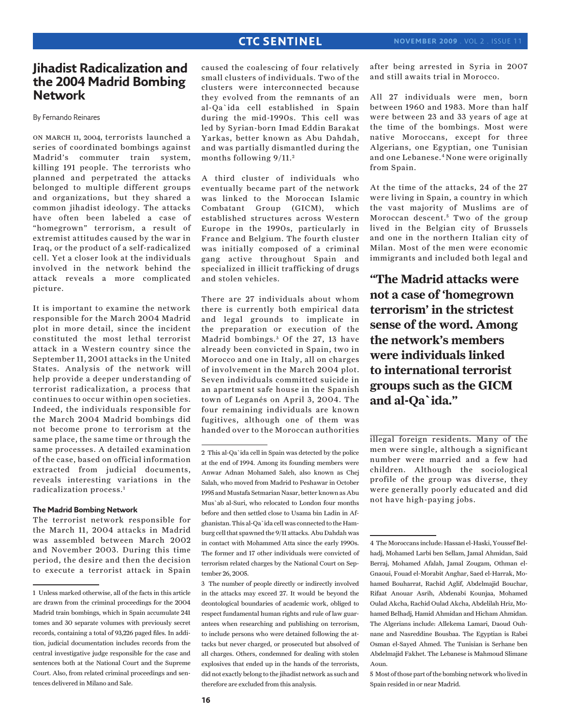### **Jihadist Radicalization and the 2004 Madrid Bombing Network**

By Fernando Reinares

on march 11, 2004, terrorists launched a series of coordinated bombings against Madrid's commuter train system, killing 191 people. The terrorists who planned and perpetrated the attacks belonged to multiple different groups and organizations, but they shared a common jihadist ideology. The attacks have often been labeled a case of "homegrown" terrorism, a result of extremist attitudes caused by the war in Iraq, or the product of a self-radicalized cell. Yet a closer look at the individuals involved in the network behind the attack reveals a more complicated picture.

It is important to examine the network responsible for the March 2004 Madrid plot in more detail, since the incident constituted the most lethal terrorist attack in a Western country since the September 11, 2001 attacks in the United States. Analysis of the network will help provide a deeper understanding of terrorist radicalization, a process that continues to occur within open societies. Indeed, the individuals responsible for the March 2004 Madrid bombings did not become prone to terrorism at the same place, the same time or through the same processes. A detailed examination of the case, based on official information extracted from judicial documents, reveals interesting variations in the radicalization process.1

#### **The Madrid Bombing Network**

The terrorist network responsible for the March 11, 2004 attacks in Madrid was assembled between March 2002 and November 2003. During this time period, the desire and then the decision to execute a terrorist attack in Spain

caused the coalescing of four relatively small clusters of individuals. Two of the clusters were interconnected because they evolved from the remnants of an al-Qa`ida cell established in Spain during the mid-1990s. This cell was led by Syrian-born Imad Eddin Barakat Yarkas, better known as Abu Dahdah, and was partially dismantled during the months following  $9/11<sup>2</sup>$ 

A third cluster of individuals who eventually became part of the network was linked to the Moroccan Islamic Combatant Group (GICM), which established structures across Western Europe in the 1990s, particularly in France and Belgium. The fourth cluster was initially composed of a criminal gang active throughout Spain and specialized in illicit trafficking of drugs and stolen vehicles.

There are 27 individuals about whom there is currently both empirical data and legal grounds to implicate in the preparation or execution of the Madrid bombings.<sup>3</sup> Of the 27, 13 have already been convicted in Spain, two in Morocco and one in Italy, all on charges of involvement in the March 2004 plot. Seven individuals committed suicide in an apartment safe house in the Spanish town of Leganés on April 3, 2004. The four remaining individuals are known fugitives, although one of them was handed over to the Moroccan authorities

3 The number of people directly or indirectly involved in the attacks may exceed 27. It would be beyond the deontological boundaries of academic work, obliged to respect fundamental human rights and rule of law guarantees when researching and publishing on terrorism, to include persons who were detained following the attacks but never charged, or prosecuted but absolved of all charges. Others, condemned for dealing with stolen explosives that ended up in the hands of the terrorists, did not exactly belong to the jihadist network as such and therefore are excluded from this analysis.

after being arrested in Syria in 2007 and still awaits trial in Morocco.

All 27 individuals were men, born between 1960 and 1983. More than half were between 23 and 33 years of age at the time of the bombings. Most were native Moroccans, except for three Algerians, one Egyptian, one Tunisian and one Lebanese.4 None were originally from Spain.

At the time of the attacks, 24 of the 27 were living in Spain, a country in which the vast majority of Muslims are of Moroccan descent.<sup>5</sup> Two of the group lived in the Belgian city of Brussels and one in the northern Italian city of Milan. Most of the men were economic immigrants and included both legal and

**"The Madrid attacks were not a case of 'homegrown terrorism' in the strictest sense of the word. Among the network's members were individuals linked to international terrorist groups such as the GICM and al-Qa`ida."**

illegal foreign residents. Many of the men were single, although a significant number were married and a few had children. Although the sociological profile of the group was diverse, they were generally poorly educated and did not have high-paying jobs.

5 Most of those part of the bombing network who lived in Spain resided in or near Madrid.

<sup>1</sup> Unless marked otherwise, all of the facts in this article are drawn from the criminal proceedings for the 2004 Madrid train bombings, which in Spain accumulate 241 tomes and 30 separate volumes with previously secret records, containing a total of 93,226 paged files. In addition, judicial documentation includes records from the central investigative judge responsible for the case and sentences both at the National Court and the Supreme Court. Also, from related criminal proceedings and sentences delivered in Milano and Sale.

<sup>2</sup> This al-Qa`ida cell in Spain was detected by the police at the end of 1994. Among its founding members were Anwar Adnan Mohamed Saleh, also known as Chej Salah, who moved from Madrid to Peshawar in October 1995 and Mustafa Setmarian Nasar, better known as Abu Mus`ab al-Suri, who relocated to London four months before and then settled close to Usama bin Ladin in Afghanistan. This al-Qa`ida cell was connected to the Hamburg cell that spawned the 9/11 attacks. Abu Dahdah was in contact with Mohammed Atta since the early 1990s. The former and 17 other individuals were convicted of terrorism related charges by the National Court on September 26, 2005.

<sup>4</sup> The Moroccans include: Hassan el-Haski, Youssef Belhadj, Mohamed Larbi ben Sellam, Jamal Ahmidan, Said Berraj, Mohamed Afalah, Jamal Zougam, Othman el-Gnaoui, Fouad el-Morabit Anghar, Saed el-Harrak, Mohamed Bouharrat, Rachid Aglif, Abdelmajid Bouchar, Rifaat Anouar Asrih, Abdenabi Kounjaa, Mohamed Oulad Akcha, Rachid Oulad Akcha, Abdelilah Hriz, Mohamed Belhadj, Hamid Ahmidan and Hicham Ahmidan. The Algerians include: Allekema Lamari, Daoud Ouhnane and Nasreddine Bousbaa. The Egyptian is Rabei Osman el-Sayed Ahmed. The Tunisian is Serhane ben Abdelmajid Fakhet. The Lebanese is Mahmoud Slimane Aoun.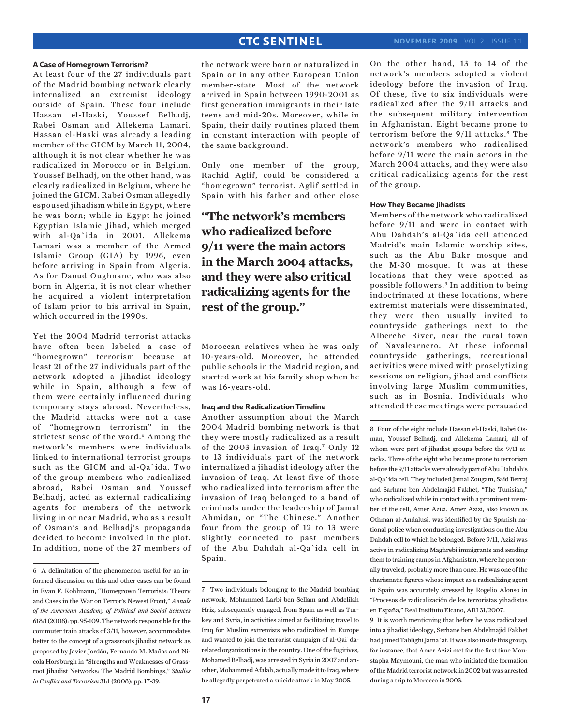#### **A Case of Homegrown Terrorism?**

At least four of the 27 individuals part of the Madrid bombing network clearly internalized an extremist ideology outside of Spain. These four include Hassan el-Haski, Youssef Belhadj, Rabei Osman and Allekema Lamari. Hassan el-Haski was already a leading member of the GICM by March 11, 2004, although it is not clear whether he was radicalized in Morocco or in Belgium. Youssef Belhadj, on the other hand, was clearly radicalized in Belgium, where he joined the GICM. Rabei Osman allegedly espoused jihadism while in Egypt, where he was born; while in Egypt he joined Egyptian Islamic Jihad, which merged with al-Qa`ida in 2001. Allekema Lamari was a member of the Armed Islamic Group (GIA) by 1996, even before arriving in Spain from Algeria. As for Daoud Oughnane, who was also born in Algeria, it is not clear whether he acquired a violent interpretation of Islam prior to his arrival in Spain, which occurred in the 1990s.

Yet the 2004 Madrid terrorist attacks have often been labeled a case of "homegrown" terrorism because at least 21 of the 27 individuals part of the network adopted a jihadist ideology while in Spain, although a few of them were certainly influenced during temporary stays abroad. Nevertheless, the Madrid attacks were not a case of "homegrown terrorism" in the strictest sense of the word.<sup>6</sup> Among the network's members were individuals linked to international terrorist groups such as the GICM and al-Qa`ida. Two of the group members who radicalized abroad, Rabei Osman and Youssef Belhadj, acted as external radicalizing agents for members of the network living in or near Madrid, who as a result of Osman's and Belhadj's propaganda decided to become involved in the plot. In addition, none of the 27 members of

the network were born or naturalized in Spain or in any other European Union member-state. Most of the network arrived in Spain between 1990-2001 as first generation immigrants in their late teens and mid-20s. Moreover, while in Spain, their daily routines placed them in constant interaction with people of the same background.

Only one member of the group, Rachid Aglif, could be considered a "homegrown" terrorist. Aglif settled in Spain with his father and other close

## **"The network's members who radicalized before 9/11 were the main actors in the March 2004 attacks, and they were also critical radicalizing agents for the rest of the group."**

Moroccan relatives when he was only 10-years-old. Moreover, he attended public schools in the Madrid region, and started work at his family shop when he was 16-years-old.

### **Iraq and the Radicalization Timeline**

Another assumption about the March 2004 Madrid bombing network is that they were mostly radicalized as a result of the 2003 invasion of Iraq.7 Only 12 to 13 individuals part of the network internalized a jihadist ideology after the invasion of Iraq. At least five of those who radicalized into terrorism after the invasion of Iraq belonged to a band of criminals under the leadership of Jamal Ahmidan, or "The Chinese." Another four from the group of 12 to 13 were slightly connected to past members of the Abu Dahdah al-Qa`ida cell in Spain.

On the other hand, 13 to 14 of the network's members adopted a violent ideology before the invasion of Iraq. Of these, five to six individuals were radicalized after the 9/11 attacks and the subsequent military intervention in Afghanistan. Eight became prone to terrorism before the 9/11 attacks.<sup>8</sup> The network's members who radicalized before 9/11 were the main actors in the March 2004 attacks, and they were also critical radicalizing agents for the rest of the group.

#### **How They Became Jihadists**

Members of the network who radicalized before 9/11 and were in contact with Abu Dahdah's al-Qa`ida cell attended Madrid's main Islamic worship sites, such as the Abu Bakr mosque and the M-30 mosque. It was at these locations that they were spotted as possible followers.9 In addition to being indoctrinated at these locations, where extremist materials were disseminated, they were then usually invited to countryside gatherings next to the Alberche River, near the rural town of Navalcarnero. At these informal countryside gatherings, recreational activities were mixed with proselytizing sessions on religion, jihad and conflicts involving large Muslim communities, such as in Bosnia. Individuals who attended these meetings were persuaded

8 Four of the eight include Hassan el-Haski, Rabei Osman, Youssef Belhadj, and Allekema Lamari, all of whom were part of jihadist groups before the 9/11 attacks. Three of the eight who became prone to terrorism before the 9/11 attacks were already part of Abu Dahdah's al-Qa`ida cell. They included Jamal Zougam, Said Berraj and Sarhane ben Abdelmajid Fakhet, "The Tunisian," who radicalized while in contact with a prominent member of the cell, Amer Azizi. Amer Azizi, also known as Othman al-Andalusi, was identified by the Spanish national police when conducting investigations on the Abu Dahdah cell to which he belonged. Before 9/11, Azizi was active in radicalizing Maghrebi immigrants and sending them to training camps in Afghanistan, where he personally traveled, probably more than once. He was one of the charismatic figures whose impact as a radicalizing agent in Spain was accurately stressed by Rogelio Alonso in "Procesos de radicalización de los terroristas yihadistas en España," Real Instituto Elcano, ARI 31/2007.

9 It is worth mentioning that before he was radicalized into a jihadist ideology, Serhane ben Abdelmajid Fakhet had joined Tablighi Jama`at. It was also inside this group, for instance, that Amer Azizi met for the first time Moustapha Maymouni, the man who initiated the formation of the Madrid terrorist network in 2002 but was arrested during a trip to Morocco in 2003.

<sup>6</sup> A delimitation of the phenomenon useful for an informed discussion on this and other cases can be found in Evan F. Kohlmann, "Homegrown Terrorists: Theory and Cases in the War on Terror's Newest Front," *Annals of the American Academy of Political and Social Sciences*  618:1 (2008): pp. 95-109. The network responsible for the commuter train attacks of 3/11, however, accommodates better to the concept of a grassroots jihadist network as proposed by Javier Jordán, Fernando M. Mañas and Nicola Horsburgh in "Strengths and Weaknesses of Grassroot Jihadist Networks: The Madrid Bombings," *Studies in Conflict and Terrorism* 31:1 (2008): pp. 17-39.

<sup>7</sup> Two individuals belonging to the Madrid bombing network, Mohammed Larbi ben Sellam and Abdelilah Hriz, subsequently engaged, from Spain as well as Turkey and Syria, in activities aimed at facilitating travel to Iraq for Muslim extremists who radicalized in Europe and wanted to join the terrorist campaign of al-Qai`darelated organizations in the country. One of the fugitives, Mohamed Belhadj, was arrested in Syria in 2007 and another, Mohammed Afalah, actually made it to Iraq, where he allegedly perpetrated a suicide attack in May 2005.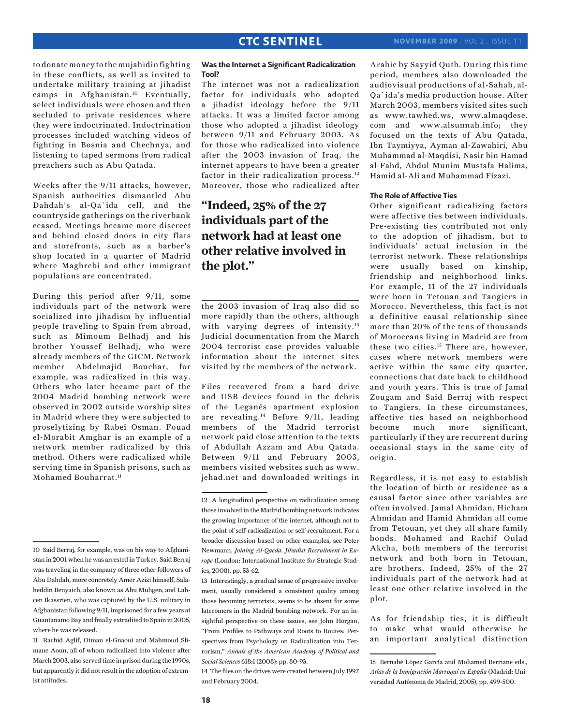to donate money to the mujahidin fighting in these conflicts, as well as invited to undertake military training at jihadist camps in Afghanistan.10 Eventually, select individuals were chosen and then secluded to private residences where they were indoctrinated. Indoctrination processes included watching videos of fighting in Bosnia and Chechnya, and listening to taped sermons from radical preachers such as Abu Qatada.

Weeks after the 9/11 attacks, however, Spanish authorities dismantled Abu Dahdah's al-Qa`ida cell, and the countryside gatherings on the riverbank ceased. Meetings became more discreet and behind closed doors in city flats and storefronts, such as a barber's shop located in a quarter of Madrid where Maghrebi and other immigrant populations are concentrated.

During this period after 9/11, some individuals part of the network were socialized into jihadism by influential people traveling to Spain from abroad, such as Mimoum Belhadj and his brother Youssef Belhadj, who were already members of the GICM. Network member Abdelmajid Bouchar, for example, was radicalized in this way. Others who later became part of the 2004 Madrid bombing network were observed in 2002 outside worship sites in Madrid where they were subjected to proselytizing by Rabei Osman. Fouad el-Morabit Amghar is an example of a network member radicalized by this method. Others were radicalized while serving time in Spanish prisons, such as Mohamed Bouharrat<sup>11</sup>

### **Was the Internet a Significant Radicalization Tool?**

The internet was not a radicalization factor for individuals who adopted a jihadist ideology before the 9/11 attacks. It was a limited factor among those who adopted a jihadist ideology between 9/11 and February 2003. As for those who radicalized into violence after the 2003 invasion of Iraq, the internet appears to have been a greater factor in their radicalization process.<sup>12</sup> Moreover, those who radicalized after

## **"Indeed, 25% of the 27 individuals part of the network had at least one other relative involved in the plot."**

the 2003 invasion of Iraq also did so more rapidly than the others, although with varying degrees of intensity.<sup>13</sup> Judicial documentation from the March 2004 terrorist case provides valuable information about the internet sites visited by the members of the network.

Files recovered from a hard drive and USB devices found in the debris of the Leganés apartment explosion are revealing.14 Before 9/11, leading members of the Madrid terrorist network paid close attention to the texts of Abdullah Azzam and Abu Qatada. Between 9/11 and February 2003, members visited websites such as www. jehad.net and downloaded writings in

13 Interestingly, a gradual sense of progressive involvement, usually considered a consistent quality among those becoming terrorists, seems to be absent for some latecomers in the Madrid bombing network. For an insightful perspective on these issues, see John Horgan, "From Profiles to Pathways and Roots to Routes: Perspectives from Psychology on Radicalization into Terrorism," *Annals of the American Academy of Political and Social Sciences* 618:1 (2008): pp. 80-93.

14 The files on the drives were created between July 1997 and February 2004.

Arabic by Sayyid Qutb. During this time period, members also downloaded the audiovisual productions of al-Sahab, al-Qa`ida's media production house. After March 2003, members visited sites such as www.tawhed.ws, www.almaqdese. com and www.alsunnah.info; they focused on the texts of Abu Qatada, Ibn Taymiyya, Ayman al-Zawahiri, Abu Muhammad al-Maqdisi, Nasir bin Hamad al-Fahd, Abdul Munim Mustafa Halima, Hamid al-Ali and Muhammad Fizazi.

#### **The Role of Affective Ties**

Other significant radicalizing factors were affective ties between individuals. Pre-existing ties contributed not only to the adoption of jihadism, but to individuals' actual inclusion in the terrorist network. These relationships were usually based on kinship, friendship and neighborhood links. For example, 11 of the 27 individuals were born in Tetouan and Tangiers in Morocco. Nevertheless, this fact is not a definitive causal relationship since more than 20% of the tens of thousands of Moroccans living in Madrid are from these two cities.15 There are, however, cases where network members were active within the same city quarter, connections that date back to childhood and youth years. This is true of Jamal Zougam and Said Berraj with respect to Tangiers. In these circumstances, affective ties based on neighborhood become much more significant, particularly if they are recurrent during occasional stays in the same city of origin.

Regardless, it is not easy to establish the location of birth or residence as a causal factor since other variables are often involved. Jamal Ahmidan, Hicham Ahmidan and Hamid Ahmidan all come from Tetouan, yet they all share family bonds. Mohamed and Rachif Oulad Akcha, both members of the terrorist network and both born in Tetouan, are brothers. Indeed, 25% of the 27 individuals part of the network had at least one other relative involved in the plot.

As for friendship ties, it is difficult to make what would otherwise be an important analytical distinction

<sup>10</sup> Said Berraj, for example, was on his way to Afghanistan in 2001 when he was arrested in Turkey. Said Berraj was traveling in the company of three other followers of Abu Dahdah, more concretely Amer Azizi himself, Salaheddin Benyaich, also known as Abu Muhgen, and Lahcen Ikassrien, who was captured by the U.S. military in Afghanistan following 9/11, imprisoned for a few years at Guantanamo Bay and finally extradited to Spain in 2005, where he was released.

<sup>11</sup> Rachid Aglif, Otman el-Gnaoui and Mahmoud Slimane Aoun, all of whom radicalized into violence after March 2003, also served time in prison during the 1990s, but apparently it did not result in the adoption of extremist attitudes.

<sup>12</sup> A longitudinal perspective on radicalization among those involved in the Madrid bombing network indicates the growing importance of the internet, although not to the point of self-radicalization or self-recruitment. For a broader discussion based on other examples, see Peter Newmann, *Joining Al-Qaeda. Jihadist Recruitment in Europe* (London: International Institute for Strategic Studies, 2008), pp. 53-62.

<sup>15</sup> Bernabé López García and Mohamed Berriane eds., *Atlas de la Inmigración Marroquí en España* (Madrid: Universidad Autónoma de Madrid, 2005), pp. 499-500.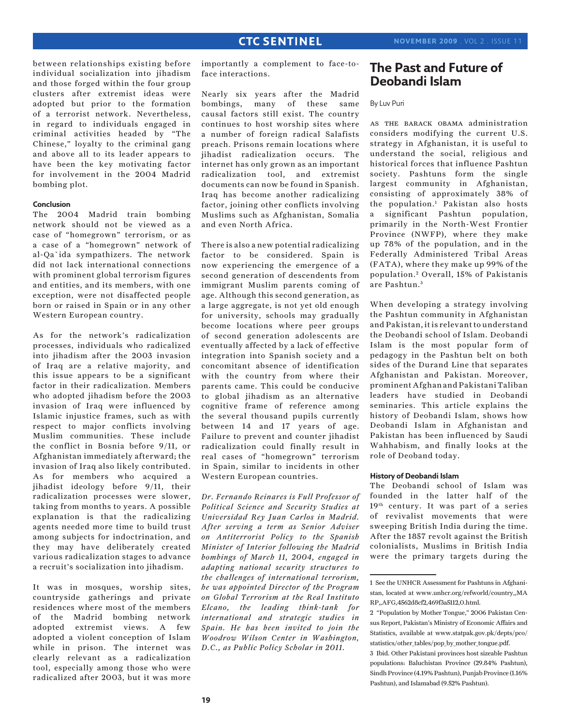between relationships existing before individual socialization into jihadism and those forged within the four group clusters after extremist ideas were adopted but prior to the formation of a terrorist network. Nevertheless, in regard to individuals engaged in criminal activities headed by "The Chinese," loyalty to the criminal gang and above all to its leader appears to have been the key motivating factor for involvement in the 2004 Madrid bombing plot.

#### **Conclusion**

The 2004 Madrid train bombing network should not be viewed as a case of "homegrown" terrorism, or as a case of a "homegrown" network of al-Qa`ida sympathizers. The network did not lack international connections with prominent global terrorism figures and entities, and its members, with one exception, were not disaffected people born or raised in Spain or in any other Western European country.

As for the network's radicalization processes, individuals who radicalized into jihadism after the 2003 invasion of Iraq are a relative majority, and this issue appears to be a significant factor in their radicalization. Members who adopted jihadism before the 2003 invasion of Iraq were influenced by Islamic injustice frames, such as with respect to major conflicts involving Muslim communities. These include the conflict in Bosnia before 9/11, or Afghanistan immediately afterward; the invasion of Iraq also likely contributed. As for members who acquired a jihadist ideology before 9/11, their radicalization processes were slower, taking from months to years. A possible explanation is that the radicalizing agents needed more time to build trust among subjects for indoctrination, and they may have deliberately created various radicalization stages to advance a recruit's socialization into jihadism.

It was in mosques, worship sites, countryside gatherings and private residences where most of the members of the Madrid bombing network adopted extremist views. A few adopted a violent conception of Islam while in prison. The internet was clearly relevant as a radicalization tool, especially among those who were radicalized after 2003, but it was more

importantly a complement to face-toface interactions.

Nearly six years after the Madrid bombings, many of these same causal factors still exist. The country continues to host worship sites where a number of foreign radical Salafists preach. Prisons remain locations where jihadist radicalization occurs. The internet has only grown as an important radicalization tool, and extremist documents can now be found in Spanish. Iraq has become another radicalizing factor, joining other conflicts involving Muslims such as Afghanistan, Somalia and even North Africa.

There is also a new potential radicalizing factor to be considered. Spain is now experiencing the emergence of a second generation of descendents from immigrant Muslim parents coming of age. Although this second generation, as a large aggregate, is not yet old enough for university, schools may gradually become locations where peer groups of second generation adolescents are eventually affected by a lack of effective integration into Spanish society and a concomitant absence of identification with the country from where their parents came. This could be conducive to global jihadism as an alternative cognitive frame of reference among the several thousand pupils currently between 14 and 17 years of age. Failure to prevent and counter jihadist radicalization could finally result in real cases of "homegrown" terrorism in Spain, similar to incidents in other Western European countries.

*Dr. Fernando Reinares is Full Professor of Political Science and Security Studies at Universidad Rey Juan Carlos in Madrid. After serving a term as Senior Adviser on Antiterrorist Policy to the Spanish Minister of Interior following the Madrid bombings of March 11, 2004, engaged in adapting national security structures to the challenges of international terrorism, he was appointed Director of the Program on Global Terrorism at the Real Instituto Elcano, the leading think-tank for international and strategic studies in Spain. He has been invited to join the Woodrow Wilson Center in Washington, D.C., as Public Policy Scholar in 2011.*

### **The Past and Future of Deobandi Islam**

### By Luv Puri

as the barack obama administration considers modifying the current U.S. strategy in Afghanistan, it is useful to understand the social, religious and historical forces that influence Pashtun society. Pashtuns form the single largest community in Afghanistan, consisting of approximately 38% of the population.1 Pakistan also hosts a significant Pashtun population, primarily in the North-West Frontier Province (NWFP), where they make up 78% of the population, and in the Federally Administered Tribal Areas (FATA), where they make up 99% of the population.<sup>2</sup> Overall, 15% of Pakistanis are Pashtun. <sup>3</sup>

When developing a strategy involving the Pashtun community in Afghanistan and Pakistan, it is relevant to understand the Deobandi school of Islam. Deobandi Islam is the most popular form of pedagogy in the Pashtun belt on both sides of the Durand Line that separates Afghanistan and Pakistan. Moreover, prominent Afghan and Pakistani Taliban leaders have studied in Deobandi seminaries. This article explains the history of Deobandi Islam, shows how Deobandi Islam in Afghanistan and Pakistan has been influenced by Saudi Wahhabism, and finally looks at the role of Deoband today.

#### **History of Deobandi Islam**

The Deobandi school of Islam was founded in the latter half of the 19<sup>th</sup> century. It was part of a series of revivalist movements that were sweeping British India during the time. After the 1857 revolt against the British colonialists, Muslims in British India were the primary targets during the

<sup>1</sup> See the UNHCR Assessment for Pashtuns in Afghanistan, located at www.unhcr.org/refworld/country,,MA RP,,AFG,4562d8cf2,469f3a5112,0.html.

<sup>2 &</sup>quot;Population by Mother Tongue," 2006 Pakistan Census Report, Pakistan's Ministry of Economic Affairs and Statistics, available at www.statpak.gov.pk/depts/pco/ statistics/other\_tables/pop\_by\_mother\_tongue.pdf.

<sup>3</sup> Ibid. Other Pakistani provinces host sizeable Pashtun populations: Baluchistan Province (29.84% Pashtun), Sindh Province (4.19% Pashtun), Punjab Province (1.16% Pashtun), and Islamabad (9.52% Pashtun).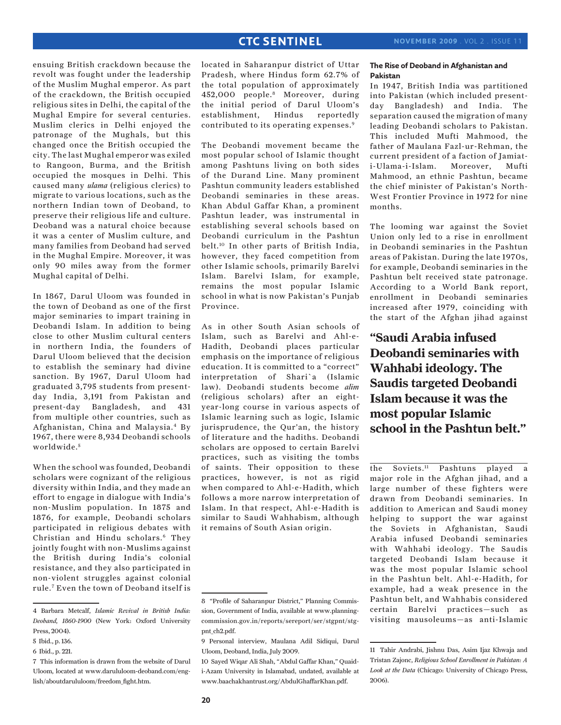ensuing British crackdown because the revolt was fought under the leadership of the Muslim Mughal emperor. As part of the crackdown, the British occupied religious sites in Delhi, the capital of the Mughal Empire for several centuries. Muslim clerics in Delhi enjoyed the patronage of the Mughals, but this changed once the British occupied the city. The last Mughal emperor was exiled to Rangoon, Burma, and the British occupied the mosques in Delhi. This caused many *ulama* (religious clerics) to migrate to various locations, such as the northern Indian town of Deoband, to preserve their religious life and culture. Deoband was a natural choice because it was a center of Muslim culture, and many families from Deoband had served in the Mughal Empire. Moreover, it was only 90 miles away from the former Mughal capital of Delhi.

In 1867, Darul Uloom was founded in the town of Deoband as one of the first major seminaries to impart training in Deobandi Islam. In addition to being close to other Muslim cultural centers in northern India, the founders of Darul Uloom believed that the decision to establish the seminary had divine sanction. By 1967, Darul Uloom had graduated 3,795 students from presentday India, 3,191 from Pakistan and present-day Bangladesh, and 431 from multiple other countries, such as Afghanistan, China and Malaysia.4 By 1967, there were 8,934 Deobandi schools worldwide.<sup>5</sup>

When the school was founded, Deobandi scholars were cognizant of the religious diversity within India, and they made an effort to engage in dialogue with India's non-Muslim population. In 1875 and 1876, for example, Deobandi scholars participated in religious debates with Christian and Hindu scholars.6 They jointly fought with non-Muslims against the British during India's colonial resistance, and they also participated in non-violent struggles against colonial rule.7 Even the town of Deoband itself is located in Saharanpur district of Uttar Pradesh, where Hindus form 62.7% of the total population of approximately 452,000 people.8 Moreover, during the initial period of Darul Uloom's establishment, Hindus reportedly contributed to its operating expenses.9

The Deobandi movement became the most popular school of Islamic thought among Pashtuns living on both sides of the Durand Line. Many prominent Pashtun community leaders established Deobandi seminaries in these areas. Khan Abdul Gaffar Khan, a prominent Pashtun leader, was instrumental in establishing several schools based on Deobandi curriculum in the Pashtun belt.10 In other parts of British India, however, they faced competition from other Islamic schools, primarily Barelvi Islam. Barelvi Islam, for example, remains the most popular Islamic school in what is now Pakistan's Punjab Province.

As in other South Asian schools of Islam, such as Barelvi and Ahl-e-Hadith, Deobandi places particular emphasis on the importance of religious education. It is committed to a "correct" interpretation of Shari`a (Islamic law). Deobandi students become *alim* (religious scholars) after an eightyear-long course in various aspects of Islamic learning such as logic, Islamic jurisprudence, the Qur'an, the history of literature and the hadiths. Deobandi scholars are opposed to certain Barelvi practices, such as visiting the tombs of saints. Their opposition to these practices, however, is not as rigid when compared to Ahl-e-Hadith, which follows a more narrow interpretation of Islam. In that respect, Ahl-e-Hadith is similar to Saudi Wahhabism, although it remains of South Asian origin.

### **The Rise of Deoband in Afghanistan and Pakistan**

In 1947, British India was partitioned into Pakistan (which included presentday Bangladesh) and India. The separation caused the migration of many leading Deobandi scholars to Pakistan. This included Mufti Mahmood, the father of Maulana Fazl-ur-Rehman, the current president of a faction of Jamiati-Ulama-i-Islam. Moreover, Mufti Mahmood, an ethnic Pashtun, became the chief minister of Pakistan's North-West Frontier Province in 1972 for nine months.

The looming war against the Soviet Union only led to a rise in enrollment in Deobandi seminaries in the Pashtun areas of Pakistan. During the late 1970s, for example, Deobandi seminaries in the Pashtun belt received state patronage. According to a World Bank report, enrollment in Deobandi seminaries increased after 1979, coinciding with the start of the Afghan jihad against

**"Saudi Arabia infused Deobandi seminaries with Wahhabi ideology. The Saudis targeted Deobandi Islam because it was the most popular Islamic school in the Pashtun belt."**

the Soviets.11 Pashtuns played a major role in the Afghan jihad, and a large number of these fighters were drawn from Deobandi seminaries. In addition to American and Saudi money helping to support the war against the Soviets in Afghanistan, Saudi Arabia infused Deobandi seminaries with Wahhabi ideology. The Saudis targeted Deobandi Islam because it was the most popular Islamic school in the Pashtun belt. Ahl-e-Hadith, for example, had a weak presence in the Pashtun belt, and Wahhabis considered certain Barelvi practices—such as visiting mausoleums—as anti-Islamic

<sup>4</sup> Barbara Metcalf, *Islamic Revival in British India: Deoband, 1860-1900* (New York: Oxford University Press, 2004).

<sup>5</sup> Ibid., p. 136.

<sup>6</sup> Ibid., p. 221.

<sup>7</sup> This information is drawn from the website of Darul Uloom, located at www.darululoom-deoband.com/english/aboutdarululoom/freedom\_fight.htm.

<sup>8 &</sup>quot;Profile of Saharanpur District," Planning Commission, Government of India, available at www.planningcommission.gov.in/reports/sereport/ser/stgpnt/stgpnt\_ch2.pdf.

<sup>9</sup> Personal interview, Maulana Adil Sidiqui, Darul Uloom, Deoband, India, July 2009.

<sup>10</sup> Sayed Wiqar Ali Shah, "Abdul Gaffar Khan," Quaidi-Azam University in Islamabad, undated, available at www.baachakhantrust.org/AbdulGhaffarKhan.pdf.

<sup>11</sup> Tahir Andrabi, Jishnu Das, Asim Ijaz Khwaja and Tristan Zajonc, *Religious School Enrollment in Pakistan: A Look at the Data* (Chicago: University of Chicago Press, 2006).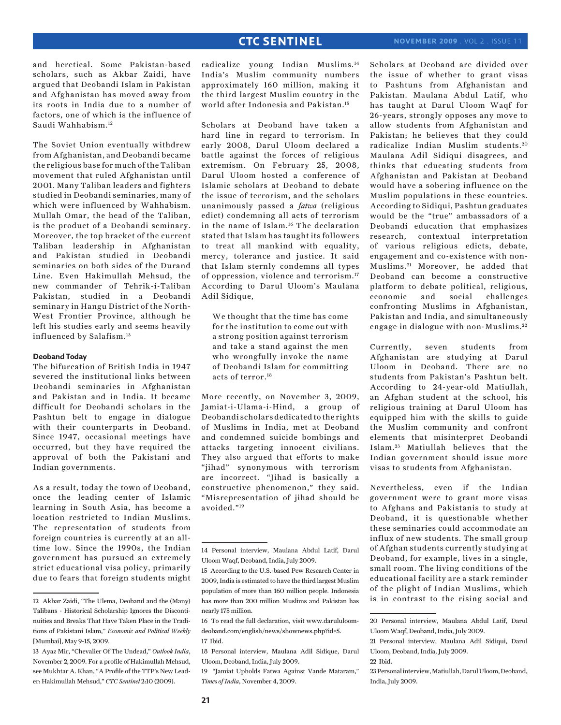and heretical. Some Pakistan-based scholars, such as Akbar Zaidi, have argued that Deobandi Islam in Pakistan and Afghanistan has moved away from its roots in India due to a number of factors, one of which is the influence of Saudi Wahhabism.12

The Soviet Union eventually withdrew from Afghanistan, and Deobandi became the religious base for much of the Taliban movement that ruled Afghanistan until 2001. Many Taliban leaders and fighters studied in Deobandi seminaries, many of which were influenced by Wahhabism. Mullah Omar, the head of the Taliban, is the product of a Deobandi seminary. Moreover, the top bracket of the current Taliban leadership in Afghanistan and Pakistan studied in Deobandi seminaries on both sides of the Durand Line. Even Hakimullah Mehsud, the new commander of Tehrik-i-Taliban Pakistan, studied in a Deobandi seminary in Hangu District of the North-West Frontier Province, although he left his studies early and seems heavily influenced by Salafism.13

#### **Deoband Today**

The bifurcation of British India in 1947 severed the institutional links between Deobandi seminaries in Afghanistan and Pakistan and in India. It became difficult for Deobandi scholars in the Pashtun belt to engage in dialogue with their counterparts in Deoband. Since 1947, occasional meetings have occurred, but they have required the approval of both the Pakistani and Indian governments.

As a result, today the town of Deoband, once the leading center of Islamic learning in South Asia, has become a location restricted to Indian Muslims. The representation of students from foreign countries is currently at an alltime low. Since the 1990s, the Indian government has pursued an extremely strict educational visa policy, primarily due to fears that foreign students might radicalize young Indian Muslims.14 India's Muslim community numbers approximately 160 million, making it the third largest Muslim country in the world after Indonesia and Pakistan.15

Scholars at Deoband have taken a hard line in regard to terrorism. In early 2008, Darul Uloom declared a battle against the forces of religious extremism. On February 25, 2008, Darul Uloom hosted a conference of Islamic scholars at Deoband to debate the issue of terrorism, and the scholars unanimously passed a *fatwa* (religious edict) condemning all acts of terrorism in the name of Islam.16 The declaration stated that Islam has taught its followers to treat all mankind with equality, mercy, tolerance and justice. It said that Islam sternly condemns all types of oppression, violence and terrorism.17 According to Darul Uloom's Maulana Adil Sidique,

We thought that the time has come for the institution to come out with a strong position against terrorism and take a stand against the men who wrongfully invoke the name of Deobandi Islam for committing acts of terror.18

More recently, on November 3, 2009, Jamiat-i-Ulama-i-Hind, a group of Deobandi scholars dedicated to the rights of Muslims in India, met at Deoband and condemned suicide bombings and attacks targeting innocent civilians. They also argued that efforts to make "jihad" synonymous with terrorism are incorrect. "Jihad is basically a constructive phenomenon," they said. "Misrepresentation of jihad should be avoided."19

19 "Jamiat Upholds Fatwa Against Vande Mataram," *Times of India*, November 4, 2009.

Scholars at Deoband are divided over the issue of whether to grant visas to Pashtuns from Afghanistan and Pakistan. Maulana Abdul Latif, who has taught at Darul Uloom Waqf for 26-years, strongly opposes any move to allow students from Afghanistan and Pakistan; he believes that they could radicalize Indian Muslim students. <sup>20</sup> Maulana Adil Sidiqui disagrees, and thinks that educating students from Afghanistan and Pakistan at Deoband would have a sobering influence on the Muslim populations in these countries. According to Sidiqui, Pashtun graduates would be the "true" ambassadors of a Deobandi education that emphasizes research, contextual interpretation of various religious edicts, debate, engagement and co-existence with non-Muslims. 21 Moreover, he added that Deoband can become a constructive platform to debate political, religious, economic and social challenges confronting Muslims in Afghanistan, Pakistan and India, and simultaneously engage in dialogue with non-Muslims. <sup>22</sup>

Currently, seven students from Afghanistan are studying at Darul Uloom in Deoband. There are no students from Pakistan's Pashtun belt. According to 24-year-old Matiullah, an Afghan student at the school, his religious training at Darul Uloom has equipped him with the skills to guide the Muslim community and confront elements that misinterpret Deobandi Islam. 23 Matiullah believes that the Indian government should issue more visas to students from Afghanistan.

Nevertheless, even if the Indian government were to grant more visas to Afghans and Pakistanis to study at Deoband, it is questionable whether these seminaries could accommodate an influx of new students. The small group of Afghan students currently studying at Deoband, for example, lives in a single, small room. The living conditions of the educational facility are a stark reminder of the plight of Indian Muslims, which is in contrast to the rising social and

<sup>12</sup> Akbar Zaidi, "The Ulema, Deoband and the (Many) Talibans - Historical Scholarship Ignores the Discontinuities and Breaks That Have Taken Place in the Traditions of Pakistani Islam," *Economic and Political Weekly*  [Mumbai], May 9-15, 2009.

<sup>13</sup> Ayaz Mir, "Chevalier Of The Undead," *Outlook India*, November 2, 2009. For a profile of Hakimullah Mehsud, see Mukhtar A. Khan, "A Profile of the TTP's New Leader: Hakimullah Mehsud," *CTC Sentinel* 2:10 (2009).

<sup>14</sup> Personal interview, Maulana Abdul Latif, Darul Uloom Waqf, Deoband, India, July 2009.

<sup>15</sup> According to the U.S.-based Pew Research Center in 2009, India is estimated to have the third largest Muslim population of more than 160 million people. Indonesia has more than 200 million Muslims and Pakistan has nearly 175 million.

<sup>16</sup> To read the full declaration, visit www.darululoomdeoband.com/english/news/shownews.php?id=5. 17 Ibid.

<sup>18</sup> Personal interview, Maulana Adil Sidique, Darul Uloom, Deoband, India, July 2009.

<sup>20</sup> Personal interview, Maulana Abdul Latif, Darul Uloom Waqf, Deoband, India, July 2009.

<sup>21</sup> Personal interview, Maulana Adil Sidiqui, Darul Uloom, Deoband, India, July 2009.

<sup>22</sup> Ibid.

<sup>23</sup> Personal interview, Matiullah, Darul Uloom, Deoband, India, July 2009.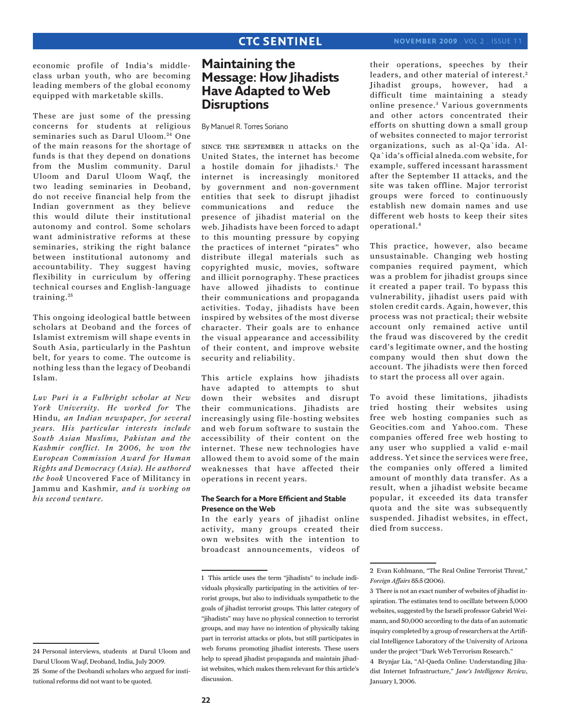economic profile of India's middleclass urban youth, who are becoming leading members of the global economy equipped with marketable skills.

These are just some of the pressing concerns for students at religious seminaries such as Darul Uloom.<sup>24</sup> One of the main reasons for the shortage of funds is that they depend on donations from the Muslim community. Darul Uloom and Darul Uloom Waqf, the two leading seminaries in Deoband, do not receive financial help from the Indian government as they believe this would dilute their institutional autonomy and control. Some scholars want administrative reforms at these seminaries, striking the right balance between institutional autonomy and accountability. They suggest having flexibility in curriculum by offering technical courses and English-language training. <sup>25</sup>

This ongoing ideological battle between scholars at Deoband and the forces of Islamist extremism will shape events in South Asia, particularly in the Pashtun belt, for years to come. The outcome is nothing less than the legacy of Deobandi Islam.

*Luv Puri is a Fulbright scholar at New York University. He worked for* The Hindu*, an Indian newspaper, for several years. His particular interests include South Asian Muslims, Pakistan and the Kashmir conflict. In 2006, he won the European Commission Award for Human Rights and Democracy (Asia). He authored the book* Uncovered Face of Militancy in Jammu and Kashmir*, and is working on his second venture.* 

### **Maintaining the Message: How Jihadists Have Adapted to Web Disruptions**

By Manuel R. Torres Soriano

since the september 11 attacks on the United States, the internet has become a hostile domain for jihadists.1 The internet is increasingly monitored by government and non-government entities that seek to disrupt jihadist communications and reduce the presence of jihadist material on the web. Jihadists have been forced to adapt to this mounting pressure by copying the practices of internet "pirates" who distribute illegal materials such as copyrighted music, movies, software and illicit pornography. These practices have allowed jihadists to continue their communications and propaganda activities. Today, jihadists have been inspired by websites of the most diverse character. Their goals are to enhance the visual appearance and accessibility of their content, and improve website security and reliability.

This article explains how jihadists have adapted to attempts to shut down their websites and disrupt their communications. Jihadists are increasingly using file-hosting websites and web forum software to sustain the accessibility of their content on the internet. These new technologies have allowed them to avoid some of the main weaknesses that have affected their operations in recent years.

#### **The Search for a More Efficient and Stable Presence on the Web**

In the early years of jihadist online activity, many groups created their own websites with the intention to broadcast announcements, videos of

their operations, speeches by their leaders, and other material of interest.2 Jihadist groups, however, had a difficult time maintaining a steady online presence.<sup>3</sup> Various governments and other actors concentrated their efforts on shutting down a small group of websites connected to major terrorist organizations, such as al-Qa`ida. Al-Qa`ida's official alneda.com website, for example, suffered incessant harassment after the September 11 attacks, and the site was taken offline. Major terrorist groups were forced to continuously establish new domain names and use different web hosts to keep their sites operational.4

This practice, however, also became unsustainable. Changing web hosting companies required payment, which was a problem for jihadist groups since it created a paper trail. To bypass this vulnerability, jihadist users paid with stolen credit cards. Again, however, this process was not practical; their website account only remained active until the fraud was discovered by the credit card's legitimate owner, and the hosting company would then shut down the account. The jihadists were then forced to start the process all over again.

To avoid these limitations, jihadists tried hosting their websites using free web hosting companies such as Geocities.com and Yahoo.com. These companies offered free web hosting to any user who supplied a valid e-mail address. Yet since the services were free, the companies only offered a limited amount of monthly data transfer. As a result, when a jihadist website became popular, it exceeded its data transfer quota and the site was subsequently suspended. Jihadist websites, in effect, died from success.

<sup>24</sup> Personal interviews, students at Darul Uloom and Darul Uloom Waqf, Deoband, India, July 2009. 25 Some of the Deobandi scholars who argued for institutional reforms did not want to be quoted.

<sup>1</sup> This article uses the term "jihadists" to include individuals physically participating in the activities of terrorist groups, but also to individuals sympathetic to the goals of jihadist terrorist groups. This latter category of "jihadists" may have no physical connection to terrorist groups, and may have no intention of physically taking part in terrorist attacks or plots, but still participates in web forums promoting jihadist interests. These users help to spread jihadist propaganda and maintain jihadist websites, which makes them relevant for this article's discussion.

<sup>2</sup> Evan Kohlmann, "The Real Online Terrorist Threat," *Foreign Affairs* 85:5 (2006).

<sup>3</sup> There is not an exact number of websites of jihadist inspiration. The estimates tend to oscillate between 5,000 websites, suggested by the Israeli professor Gabriel Weimann, and 50,000 according to the data of an automatic inquiry completed by a group of researchers at the Artificial Intelligence Laboratory of the University of Arizona under the project "Dark Web Terrorism Research."

<sup>4</sup> Brynjar Lia, "Al-Qaeda Online: Understanding Jihadist Internet Infrastructure," *Jane's Intelligence Review*, January 1, 2006.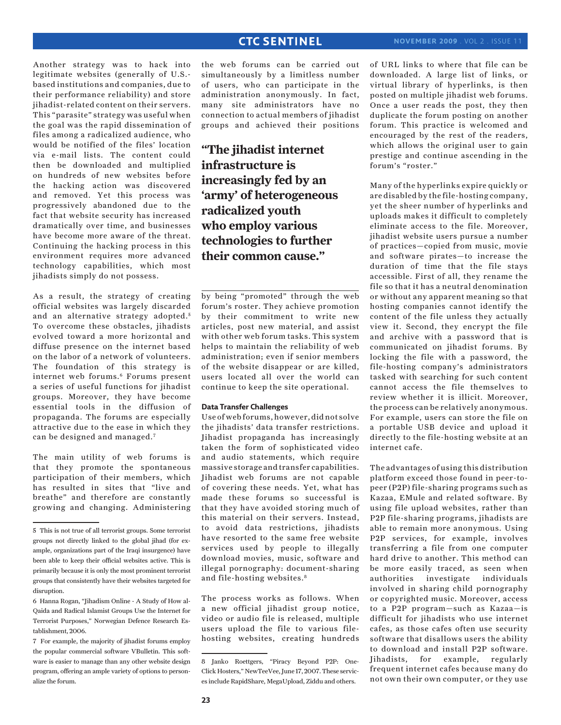Another strategy was to hack into legitimate websites (generally of U.S. based institutions and companies, due to their performance reliability) and store jihadist-related content on their servers. This "parasite" strategy was useful when the goal was the rapid dissemination of files among a radicalized audience, who would be notified of the files' location via e-mail lists. The content could then be downloaded and multiplied on hundreds of new websites before the hacking action was discovered and removed. Yet this process was progressively abandoned due to the fact that website security has increased dramatically over time, and businesses have become more aware of the threat. Continuing the hacking process in this environment requires more advanced technology capabilities, which most jihadists simply do not possess.

As a result, the strategy of creating official websites was largely discarded and an alternative strategy adopted.<sup>5</sup> To overcome these obstacles, jihadists evolved toward a more horizontal and diffuse presence on the internet based on the labor of a network of volunteers. The foundation of this strategy is internet web forums.<sup>6</sup> Forums present a series of useful functions for jihadist groups. Moreover, they have become essential tools in the diffusion of propaganda. The forums are especially attractive due to the ease in which they can be designed and managed.7

The main utility of web forums is that they promote the spontaneous participation of their members, which has resulted in sites that "live and breathe" and therefore are constantly growing and changing. Administering the web forums can be carried out simultaneously by a limitless number of users, who can participate in the administration anonymously. In fact, many site administrators have no connection to actual members of jihadist groups and achieved their positions

**"The jihadist internet infrastructure is increasingly fed by an 'army' of heterogeneous radicalized youth who employ various technologies to further their common cause."**

by being "promoted" through the web forum's roster. They achieve promotion by their commitment to write new articles, post new material, and assist with other web forum tasks. This system helps to maintain the reliability of web administration; even if senior members of the website disappear or are killed, users located all over the world can continue to keep the site operational.

### **Data Transfer Challenges**

Use of web forums, however, did not solve the jihadists' data transfer restrictions. Jihadist propaganda has increasingly taken the form of sophisticated video and audio statements, which require massive storage and transfer capabilities. Jihadist web forums are not capable of covering these needs. Yet, what has made these forums so successful is that they have avoided storing much of this material on their servers. Instead, to avoid data restrictions, jihadists have resorted to the same free website services used by people to illegally download movies, music, software and illegal pornography: document-sharing and file-hosting websites.8

The process works as follows. When a new official jihadist group notice, video or audio file is released, multiple users upload the file to various filehosting websites, creating hundreds

of URL links to where that file can be downloaded. A large list of links, or virtual library of hyperlinks, is then posted on multiple jihadist web forums. Once a user reads the post, they then duplicate the forum posting on another forum. This practice is welcomed and encouraged by the rest of the readers, which allows the original user to gain prestige and continue ascending in the forum's "roster."

Many of the hyperlinks expire quickly or are disabled by the file-hosting company, yet the sheer number of hyperlinks and uploads makes it difficult to completely eliminate access to the file. Moreover, jihadist website users pursue a number of practices—copied from music, movie and software pirates—to increase the duration of time that the file stays accessible. First of all, they rename the file so that it has a neutral denomination or without any apparent meaning so that hosting companies cannot identify the content of the file unless they actually view it. Second, they encrypt the file and archive with a password that is communicated on jihadist forums. By locking the file with a password, the file-hosting company's administrators tasked with searching for such content cannot access the file themselves to review whether it is illicit. Moreover, the process can be relatively anonymous. For example, users can store the file on a portable USB device and upload it directly to the file-hosting website at an internet cafe.

The advantages of using this distribution platform exceed those found in peer-topeer (P2P) file-sharing programs such as Kazaa, EMule and related software. By using file upload websites, rather than P2P file-sharing programs, jihadists are able to remain more anonymous. Using P2P services, for example, involves transferring a file from one computer hard drive to another. This method can be more easily traced, as seen when authorities investigate individuals involved in sharing child pornography or copyrighted music. Moreover, access to a P2P program—such as Kazaa—is difficult for jihadists who use internet cafes, as those cafes often use security software that disallows users the ability to download and install P2P software. Jihadists, for example, regularly frequent internet cafes because many do not own their own computer, or they use

<sup>5</sup> This is not true of all terrorist groups. Some terrorist groups not directly linked to the global jihad (for example, organizations part of the Iraqi insurgence) have been able to keep their official websites active. This is primarily because it is only the most prominent terrorist groups that consistently have their websites targeted for disruption.

<sup>6</sup> Hanna Rogan, "Jihadism Online - A Study of How al-Qaida and Radical Islamist Groups Use the Internet for Terrorist Purposes," Norwegian Defence Research Establishment, 2006.

<sup>7</sup> For example, the majority of jihadist forums employ the popular commercial software VBulletin. This software is easier to manage than any other website design program, offering an ample variety of options to personalize the forum.

<sup>8</sup> Janko Roettgers, "Piracy Beyond P2P: One-Click Hosters," NewTeeVee, June 17, 2007. These services include RapidShare, MegaUpload, Ziddu and others.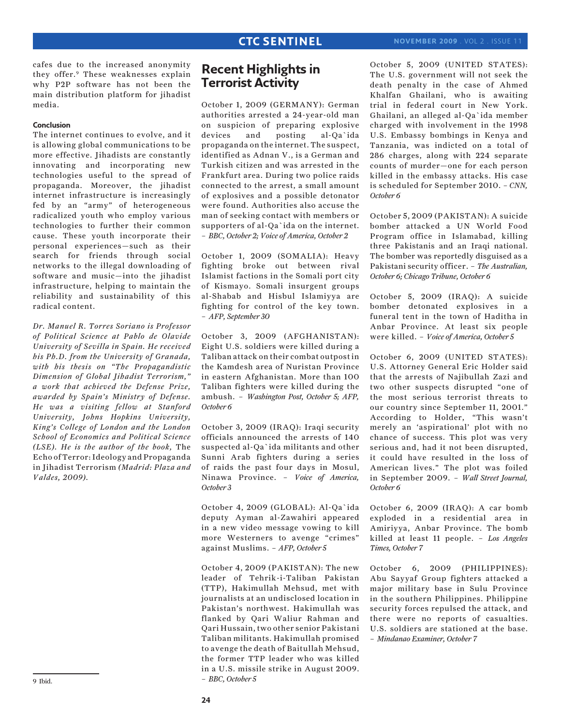cafes due to the increased anonymity they offer.9 These weaknesses explain why P2P software has not been the main distribution platform for jihadist media.

### **Conclusion**

The internet continues to evolve, and it is allowing global communications to be more effective. Jihadists are constantly innovating and incorporating new technologies useful to the spread of propaganda. Moreover, the jihadist internet infrastructure is increasingly fed by an "army" of heterogeneous radicalized youth who employ various technologies to further their common cause. These youth incorporate their personal experiences—such as their search for friends through social networks to the illegal downloading of software and music—into the jihadist infrastructure, helping to maintain the reliability and sustainability of this radical content.

*Dr. Manuel R. Torres Soriano is Professor of Political Science at Pablo de Olavide University of Sevilla in Spain. He received his Ph.D. from the University of Granada, with his thesis on "The Propagandistic Dimension of Global Jihadist Terrorism," a work that achieved the Defense Prize, awarded by Spain's Ministry of Defense. He was a visiting fellow at Stanford University, Johns Hopkins University, King's College of London and the London School of Economics and Political Science (LSE). He is the author of the book,* The Echo of Terror: Ideology and Propaganda in Jihadist Terrorism *(Madrid: Plaza and Valdes, 2009).*

### **Recent Highlights in Terrorist Activity**

October 1, 2009 (GERMANY): German authorities arrested a 24-year-old man on suspicion of preparing explosive devices and posting al-Qa`ida propaganda on the internet. The suspect, identified as Adnan V., is a German and Turkish citizen and was arrested in the Frankfurt area. During two police raids connected to the arrest, a small amount of explosives and a possible detonator were found. Authorities also accuse the man of seeking contact with members or supporters of al-Qa`ida on the internet. – *BBC, October 2; Voice of America, October 2*

October 1, 2009 (SOMALIA): Heavy fighting broke out between rival Islamist factions in the Somali port city of Kismayo. Somali insurgent groups al-Shabab and Hisbul Islamiyya are fighting for control of the key town. – *AFP, September 30*

October 3, 2009 (AFGHANISTAN): Eight U.S. soldiers were killed during a Taliban attack on their combat outpost in the Kamdesh area of Nuristan Province in eastern Afghanistan. More than 100 Taliban fighters were killed during the ambush. – *Washington Post, October 5; AFP, October 6*

October 3, 2009 (IRAQ): Iraqi security officials announced the arrests of 140 suspected al-Qa`ida militants and other Sunni Arab fighters during a series of raids the past four days in Mosul, Ninawa Province. – *Voice of America, October 3*

October 4, 2009 (GLOBAL): Al-Qa`ida deputy Ayman al-Zawahiri appeared in a new video message vowing to kill more Westerners to avenge "crimes" against Muslims. – *AFP, October 5*

October 4, 2009 (PAKISTAN): The new leader of Tehrik-i-Taliban Pakistan (TTP), Hakimullah Mehsud, met with journalists at an undisclosed location in Pakistan's northwest. Hakimullah was flanked by Qari Waliur Rahman and Qari Hussain, two other senior Pakistani Taliban militants. Hakimullah promised to avenge the death of Baitullah Mehsud, the former TTP leader who was killed in a U.S. missile strike in August 2009. – *BBC, October 5*

October 5, 2009 (UNITED STATES): The U.S. government will not seek the death penalty in the case of Ahmed Khalfan Ghailani, who is awaiting trial in federal court in New York. Ghailani, an alleged al-Qa`ida member charged with involvement in the 1998 U.S. Embassy bombings in Kenya and Tanzania, was indicted on a total of 286 charges, along with 224 separate counts of murder—one for each person killed in the embassy attacks. His case is scheduled for September 2010. – *CNN, October 6*

October 5, 2009 (PAKISTAN): A suicide bomber attacked a UN World Food Program office in Islamabad, killing three Pakistanis and an Iraqi national. The bomber was reportedly disguised as a Pakistani security officer. – *The Australian, October 6; Chicago Tribune, October 6*

October 5, 2009 (IRAQ): A suicide bomber detonated explosives in a funeral tent in the town of Haditha in Anbar Province. At least six people were killed. – *Voice of America, October 5*

October 6, 2009 (UNITED STATES): U.S. Attorney General Eric Holder said that the arrests of Najibullah Zazi and two other suspects disrupted "one of the most serious terrorist threats to our country since September 11, 2001." According to Holder, "This wasn't merely an 'aspirational' plot with no chance of success. This plot was very serious and, had it not been disrupted, it could have resulted in the loss of American lives." The plot was foiled in September 2009. – *Wall Street Journal, October 6*

October 6, 2009 (IRAQ): A car bomb exploded in a residential area in Amiriyya, Anbar Province. The bomb killed at least 11 people. – *Los Angeles Times, October 7*

October 6, 2009 (PHILIPPINES): Abu Sayyaf Group fighters attacked a major military base in Sulu Province in the southern Philippines. Philippine security forces repulsed the attack, and there were no reports of casualties. U.S. soldiers are stationed at the base. – *Mindanao Examiner, October 7*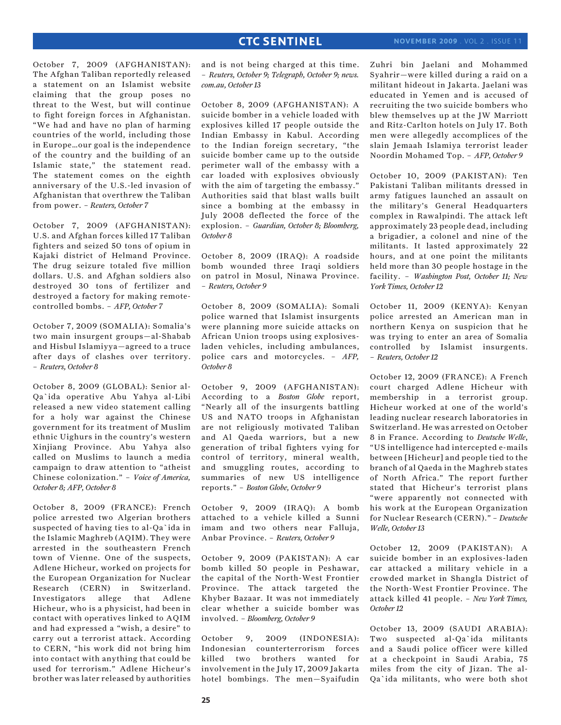October 7, 2009 (AFGHANISTAN): The Afghan Taliban reportedly released a statement on an Islamist website claiming that the group poses no threat to the West, but will continue to fight foreign forces in Afghanistan. "We had and have no plan of harming countries of the world, including those in Europe…our goal is the independence of the country and the building of an Islamic state," the statement read. The statement comes on the eighth anniversary of the U.S.-led invasion of Afghanistan that overthrew the Taliban from power. – *Reuters, October 7*

October 7, 2009 (AFGHANISTAN): U.S. and Afghan forces killed 17 Taliban fighters and seized 50 tons of opium in Kajaki district of Helmand Province. The drug seizure totaled five million dollars. U.S. and Afghan soldiers also destroyed 30 tons of fertilizer and destroyed a factory for making remotecontrolled bombs. – *AFP, October 7*

October 7, 2009 (SOMALIA): Somalia's two main insurgent groups—al-Shabab and Hisbul Islamiyya—agreed to a truce after days of clashes over territory. – *Reuters, October 8*

October 8, 2009 (GLOBAL): Senior al-Qa`ida operative Abu Yahya al-Libi released a new video statement calling for a holy war against the Chinese government for its treatment of Muslim ethnic Uighurs in the country's western Xinjiang Province. Abu Yahya also called on Muslims to launch a media campaign to draw attention to "atheist Chinese colonization." – *Voice of America, October 8; AFP, October 8*

October 8, 2009 (FRANCE): French police arrested two Algerian brothers suspected of having ties to al-Qa`ida in the Islamic Maghreb (AQIM). They were arrested in the southeastern French town of Vienne. One of the suspects, Adlene Hicheur, worked on projects for the European Organization for Nuclear Research (CERN) in Switzerland. Investigators allege that Adlene Hicheur, who is a physicist, had been in contact with operatives linked to AQIM and had expressed a "wish, a desire" to carry out a terrorist attack. According to CERN, "his work did not bring him into contact with anything that could be used for terrorism." Adlene Hicheur's brother was later released by authorities

and is not being charged at this time. – *Reuters, October 9; Telegraph, October 9; news. com.au, October 13*

October 8, 2009 (AFGHANISTAN): A suicide bomber in a vehicle loaded with explosives killed 17 people outside the Indian Embassy in Kabul. According to the Indian foreign secretary, "the suicide bomber came up to the outside perimeter wall of the embassy with a car loaded with explosives obviously with the aim of targeting the embassy." Authorities said that blast walls built since a bombing at the embassy in July 2008 deflected the force of the explosion. – *Guardian, October 8; Bloomberg, October 8*

October 8, 2009 (IRAQ): A roadside bomb wounded three Iraqi soldiers on patrol in Mosul, Ninawa Province. – *Reuters, October 9*

October 8, 2009 (SOMALIA): Somali police warned that Islamist insurgents were planning more suicide attacks on African Union troops using explosivesladen vehicles, including ambulances, police cars and motorcycles. – *AFP, October 8*

October 9, 2009 (AFGHANISTAN): According to a *Boston Globe* report, "Nearly all of the insurgents battling US and NATO troops in Afghanistan are not religiously motivated Taliban and Al Qaeda warriors, but a new generation of tribal fighters vying for control of territory, mineral wealth, and smuggling routes, according to summaries of new US intelligence reports." – *Boston Globe, October 9*

October 9, 2009 (IRAQ): A bomb attached to a vehicle killed a Sunni imam and two others near Falluja, Anbar Province. – *Reuters, October 9*

October 9, 2009 (PAKISTAN): A car bomb killed 50 people in Peshawar, the capital of the North-West Frontier Province. The attack targeted the Khyber Bazaar. It was not immediately clear whether a suicide bomber was involved. – *Bloomberg, October 9*

October 9, 2009 (INDONESIA): Indonesian counterterrorism forces killed two brothers wanted for involvement in the July 17, 2009 Jakarta hotel bombings. The men—Syaifudin Zuhri bin Jaelani and Mohammed Syahrir—were killed during a raid on a militant hideout in Jakarta. Jaelani was educated in Yemen and is accused of recruiting the two suicide bombers who blew themselves up at the JW Marriott and Ritz-Carlton hotels on July 17. Both men were allegedly accomplices of the slain Jemaah Islamiya terrorist leader Noordin Mohamed Top. – *AFP, October 9*

October 10, 2009 (PAKISTAN): Ten Pakistani Taliban militants dressed in army fatigues launched an assault on the military's General Headquarters complex in Rawalpindi. The attack left approximately 23 people dead, including a brigadier, a colonel and nine of the militants. It lasted approximately 22 hours, and at one point the militants held more than 30 people hostage in the facility. – *Washington Post, October 11; New York Times, October 12*

October 11, 2009 (KENYA): Kenyan police arrested an American man in northern Kenya on suspicion that he was trying to enter an area of Somalia controlled by Islamist insurgents. – *Reuters, October 12*

October 12, 2009 (FRANCE): A French court charged Adlene Hicheur with membership in a terrorist group. Hicheur worked at one of the world's leading nuclear research laboratories in Switzerland. He was arrested on October 8 in France. According to *Deutsche Welle*, "US intelligence had intercepted e-mails between [Hicheur] and people tied to the branch of al Qaeda in the Maghreb states of North Africa." The report further stated that Hicheur's terrorist plans "were apparently not connected with his work at the European Organization for Nuclear Research (CERN)." – *Deutsche Welle, October 13*

October 12, 2009 (PAKISTAN): A suicide bomber in an explosives-laden car attacked a military vehicle in a crowded market in Shangla District of the North-West Frontier Province. The attack killed 41 people. – *New York Times, October 12*

October 13, 2009 (SAUDI ARABIA): Two suspected al-Qa`ida militants and a Saudi police officer were killed at a checkpoint in Saudi Arabia, 75 miles from the city of Jizan. The al-Qa`ida militants, who were both shot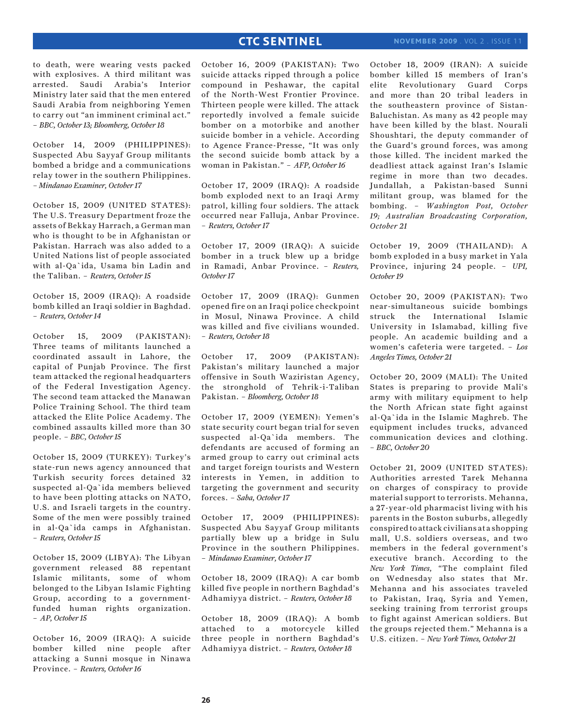to death, were wearing vests packed with explosives. A third militant was arrested. Saudi Arabia's Interior Ministry later said that the men entered Saudi Arabia from neighboring Yemen to carry out "an imminent criminal act." – *BBC, October 13; Bloomberg, October 18*

October 14, 2009 (PHILIPPINES): Suspected Abu Sayyaf Group militants bombed a bridge and a communications relay tower in the southern Philippines. *– Mindanao Examiner, October 17*

October 15, 2009 (UNITED STATES): The U.S. Treasury Department froze the assets of Bekkay Harrach, a German man who is thought to be in Afghanistan or Pakistan. Harrach was also added to a United Nations list of people associated with al-Qa`ida, Usama bin Ladin and the Taliban. – *Reuters, October 15*

October 15, 2009 (IRAQ): A roadside bomb killed an Iraqi soldier in Baghdad. – *Reuters, October 14*

October 15, 2009 (PAKISTAN): Three teams of militants launched a coordinated assault in Lahore, the capital of Punjab Province. The first team attacked the regional headquarters of the Federal Investigation Agency. The second team attacked the Manawan Police Training School. The third team attacked the Elite Police Academy. The combined assaults killed more than 30 people. – *BBC, October 15*

October 15, 2009 (TURKEY): Turkey's state-run news agency announced that Turkish security forces detained 32 suspected al-Qa`ida members believed to have been plotting attacks on NATO, U.S. and Israeli targets in the country. Some of the men were possibly trained in al-Qa`ida camps in Afghanistan. – *Reuters, October 15*

October 15, 2009 (LIBYA): The Libyan government released 88 repentant Islamic militants, some of whom belonged to the Libyan Islamic Fighting Group, according to a governmentfunded human rights organization. – *AP, October 15*

October 16, 2009 (IRAQ): A suicide bomber killed nine people after attacking a Sunni mosque in Ninawa Province. – *Reuters, October 16*

October 16, 2009 (PAKISTAN): Two suicide attacks ripped through a police compound in Peshawar, the capital of the North-West Frontier Province. Thirteen people were killed. The attack reportedly involved a female suicide bomber on a motorbike and another suicide bomber in a vehicle. According to Agence France-Presse, "It was only the second suicide bomb attack by a woman in Pakistan." – *AFP, October 16*

October 17, 2009 (IRAQ): A roadside bomb exploded next to an Iraqi Army patrol, killing four soldiers. The attack occurred near Falluja, Anbar Province. – *Reuters, October 17*

October 17, 2009 (IRAQ): A suicide bomber in a truck blew up a bridge in Ramadi, Anbar Province. – *Reuters, October 17*

October 17, 2009 (IRAQ): Gunmen opened fire on an Iraqi police checkpoint in Mosul, Ninawa Province. A child was killed and five civilians wounded. – *Reuters, October 18*

October 17, 2009 (PAKISTAN): Pakistan's military launched a major offensive in South Waziristan Agency, the stronghold of Tehrik-i-Taliban Pakistan. – *Bloomberg, October 18*

October 17, 2009 (YEMEN): Yemen's state security court began trial for seven suspected al-Qa`ida members. The defendants are accused of forming an armed group to carry out criminal acts and target foreign tourists and Western interests in Yemen, in addition to targeting the government and security forces. – *Saba, October 17*

October 17, 2009 (PHILIPPINES): Suspected Abu Sayyaf Group militants partially blew up a bridge in Sulu Province in the southern Philippines. – *Mindanao Examiner, October 17*

October 18, 2009 (IRAQ): A car bomb killed five people in northern Baghdad's Adhamiyya district. – *Reuters, October 18*

October 18, 2009 (IRAQ): A bomb attached to a motorcycle killed three people in northern Baghdad's Adhamiyya district. – *Reuters, October 18*

October 18, 2009 (IRAN): A suicide bomber killed 15 members of Iran's elite Revolutionary Guard Corps and more than 20 tribal leaders in the southeastern province of Sistan-Baluchistan. As many as 42 people may have been killed by the blast. Nourali Shoushtari, the deputy commander of the Guard's ground forces, was among those killed. The incident marked the deadliest attack against Iran's Islamic regime in more than two decades. Jundallah, a Pakistan-based Sunni militant group, was blamed for the bombing. – *Washington Post, October 19; Australian Broadcasting Corporation, October 21*

October 19, 2009 (THAILAND): A bomb exploded in a busy market in Yala Province, injuring 24 people. – *UPI, October 19*

October 20, 2009 (PAKISTAN): Two near-simultaneous suicide bombings struck the International Islamic University in Islamabad, killing five people. An academic building and a women's cafeteria were targeted. – *Los Angeles Times, October 21*

October 20, 2009 (MALI): The United States is preparing to provide Mali's army with military equipment to help the North African state fight against al-Qa`ida in the Islamic Maghreb. The equipment includes trucks, advanced communication devices and clothing. – *BBC, October 20*

October 21, 2009 (UNITED STATES): Authorities arrested Tarek Mehanna on charges of conspiracy to provide material support to terrorists. Mehanna, a 27-year-old pharmacist living with his parents in the Boston suburbs, allegedly conspired to attack civilians at a shopping mall, U.S. soldiers overseas, and two members in the federal government's executive branch. According to the *New York Times*, "The complaint filed on Wednesday also states that Mr. Mehanna and his associates traveled to Pakistan, Iraq, Syria and Yemen, seeking training from terrorist groups to fight against American soldiers. But the groups rejected them." Mehanna is a U.S. citizen. – *New York Times, October 21*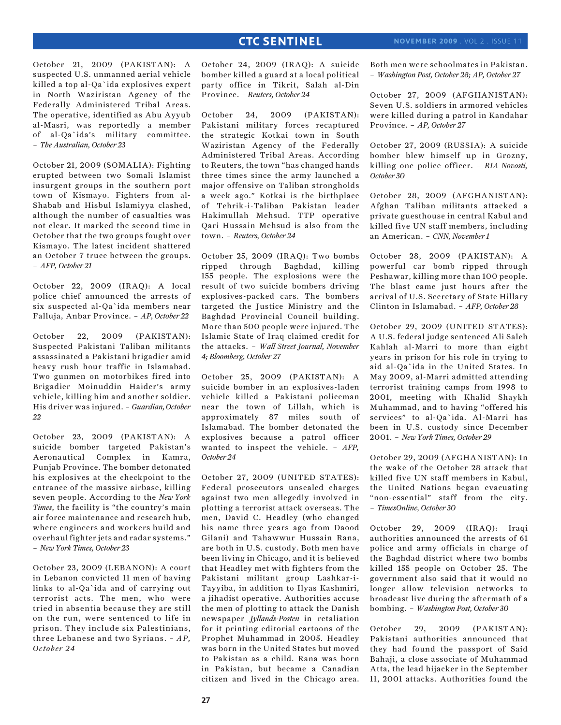October 21, 2009 (PAKISTAN): A suspected U.S. unmanned aerial vehicle killed a top al-Qa`ida explosives expert in North Waziristan Agency of the Federally Administered Tribal Areas. The operative, identified as Abu Ayyub al-Masri, was reportedly a member of al-Qa`ida's military committee. – *The Australian, October 23*

October 21, 2009 (SOMALIA): Fighting erupted between two Somali Islamist insurgent groups in the southern port town of Kismayo. Fighters from al-Shabab and Hisbul Islamiyya clashed, although the number of casualties was not clear. It marked the second time in October that the two groups fought over Kismayo. The latest incident shattered an October 7 truce between the groups. – *AFP, October 21*

October 22, 2009 (IRAQ): A local police chief announced the arrests of six suspected al-Qa`ida members near Falluja, Anbar Province. – *AP, October 22*

October 22, 2009 (PAKISTAN): Suspected Pakistani Taliban militants assassinated a Pakistani brigadier amid heavy rush hour traffic in Islamabad. Two gunmen on motorbikes fired into Brigadier Moinuddin Haider's army vehicle, killing him and another soldier. His driver was injured. – *Guardian, October 22*

October 23, 2009 (PAKISTAN): A suicide bomber targeted Pakistan's Aeronautical Complex in Kamra, Punjab Province. The bomber detonated his explosives at the checkpoint to the entrance of the massive airbase, killing seven people. According to the *New York Times*, the facility is "the country's main air force maintenance and research hub, where engineers and workers build and overhaul fighter jets and radar systems." – *New York Times, October 23* 

October 23, 2009 (LEBANON): A court in Lebanon convicted 11 men of having links to al-Qa`ida and of carrying out terrorist acts. The men, who were tried in absentia because they are still on the run, were sentenced to life in prison. They include six Palestinians, three Lebanese and two Syrians. – *AP, October 24*

October 24, 2009 (IRAQ): A suicide bomber killed a guard at a local political party office in Tikrit, Salah al-Din Province. *– Reuters, October 24*

October 24, 2009 (PAKISTAN): Pakistani military forces recaptured the strategic Kotkai town in South Waziristan Agency of the Federally Administered Tribal Areas. According to Reuters, the town "has changed hands three times since the army launched a major offensive on Taliban strongholds a week ago." Kotkai is the birthplace of Tehrik-i-Taliban Pakistan leader Hakimullah Mehsud. TTP operative Qari Hussain Mehsud is also from the town. – *Reuters, October 24*

October 25, 2009 (IRAQ): Two bombs ripped through Baghdad, killing 155 people. The explosions were the result of two suicide bombers driving explosives-packed cars. The bombers targeted the Justice Ministry and the Baghdad Provincial Council building. More than 500 people were injured. The Islamic State of Iraq claimed credit for the attacks. – *Wall Street Journal, November 4; Bloomberg, October 27*

October 25, 2009 (PAKISTAN): A suicide bomber in an explosives-laden vehicle killed a Pakistani policeman near the town of Lillah, which is approximately 87 miles south of Islamabad. The bomber detonated the explosives because a patrol officer wanted to inspect the vehicle. – *AFP, October 24*

October 27, 2009 (UNITED STATES): Federal prosecutors unsealed charges against two men allegedly involved in plotting a terrorist attack overseas. The men, David C. Headley (who changed his name three years ago from Daood Gilani) and Tahawwur Hussain Rana, are both in U.S. custody. Both men have been living in Chicago, and it is believed that Headley met with fighters from the Pakistani militant group Lashkar-i-Tayyiba, in addition to Ilyas Kashmiri, a jihadist operative. Authorities accuse the men of plotting to attack the Danish newspaper *Jyllands-Posten* in retaliation for it printing editorial cartoons of the Prophet Muhammad in 2005. Headley was born in the United States but moved to Pakistan as a child. Rana was born in Pakistan, but became a Canadian citizen and lived in the Chicago area.

Both men were schoolmates in Pakistan. – *Washington Post, October 28; AP, October 27*

October 27, 2009 (AFGHANISTAN): Seven U.S. soldiers in armored vehicles were killed during a patrol in Kandahar Province. – *AP, October 27*

October 27, 2009 (RUSSIA): A suicide bomber blew himself up in Grozny, killing one police officer. – *RIA Novosti, October 30*

October 28, 2009 (AFGHANISTAN): Afghan Taliban militants attacked a private guesthouse in central Kabul and killed five UN staff members, including an American. – *CNN, November 1*

October 28, 2009 (PAKISTAN): A powerful car bomb ripped through Peshawar, killing more than 100 people. The blast came just hours after the arrival of U.S. Secretary of State Hillary Clinton in Islamabad. – *AFP, October 28*

October 29, 2009 (UNITED STATES): A U.S. federal judge sentenced Ali Saleh Kahlah al-Marri to more than eight years in prison for his role in trying to aid al-Qa`ida in the United States. In May 2009, al-Marri admitted attending terrorist training camps from 1998 to 2001, meeting with Khalid Shaykh Muhammad, and to having "offered his services" to al-Qa`ida. Al-Marri has been in U.S. custody since December 2001. – *New York Times, October 29*

October 29, 2009 (AFGHANISTAN): In the wake of the October 28 attack that killed five UN staff members in Kabul, the United Nations began evacuating "non-essential" staff from the city. – *TimesOnline, October 30*

October 29, 2009 (IRAQ): Iraqi authorities announced the arrests of 61 police and army officials in charge of the Baghdad district where two bombs killed 155 people on October 25. The government also said that it would no longer allow television networks to broadcast live during the aftermath of a bombing. – *Washington Post, October 30* 

October 29, 2009 (PAKISTAN): Pakistani authorities announced that they had found the passport of Said Bahaji, a close associate of Muhammad Atta, the lead hijacker in the September 11, 2001 attacks. Authorities found the